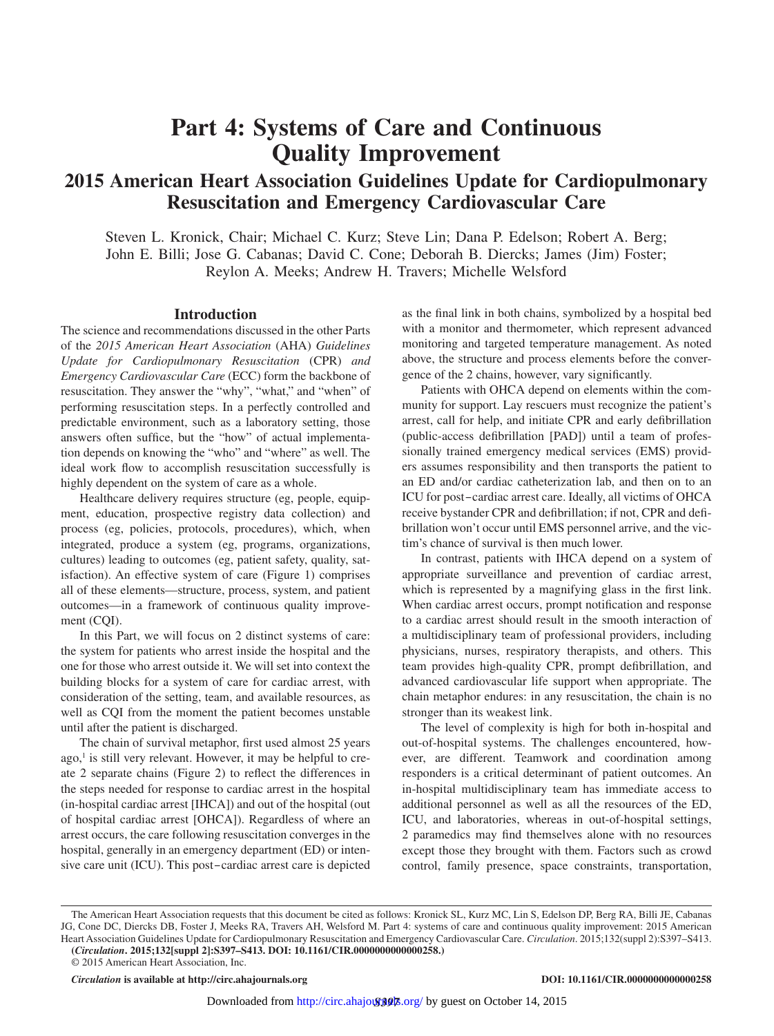# **Part 4: Systems of Care and Continuous Quality Improvement**

# **2015 American Heart Association Guidelines Update for Cardiopulmonary Resuscitation and Emergency Cardiovascular Care**

Steven L. Kronick, Chair; Michael C. Kurz; Steve Lin; Dana P. Edelson; Robert A. Berg; John E. Billi; Jose G. Cabanas; David C. Cone; Deborah B. Diercks; James (Jim) Foster; Reylon A. Meeks; Andrew H. Travers; Michelle Welsford

### **Introduction**

The science and recommendations discussed in the other Parts of the *2015 American Heart Association* (AHA) *Guidelines Update for Cardiopulmonary Resuscitation* (CPR) *and Emergency Cardiovascular Care* (ECC) form the backbone of resuscitation. They answer the "why", "what," and "when" of performing resuscitation steps. In a perfectly controlled and predictable environment, such as a laboratory setting, those answers often suffice, but the "how" of actual implementation depends on knowing the "who" and "where" as well. The ideal work flow to accomplish resuscitation successfully is highly dependent on the system of care as a whole.

Healthcare delivery requires structure (eg, people, equipment, education, prospective registry data collection) and process (eg, policies, protocols, procedures), which, when integrated, produce a system (eg, programs, organizations, cultures) leading to outcomes (eg, patient safety, quality, satisfaction). An effective system of care (Figure 1) comprises all of these elements—structure, process, system, and patient outcomes—in a framework of continuous quality improvement (CQI).

In this Part, we will focus on 2 distinct systems of care: the system for patients who arrest inside the hospital and the one for those who arrest outside it. We will set into context the building blocks for a system of care for cardiac arrest, with consideration of the setting, team, and available resources, as well as CQI from the moment the patient becomes unstable until after the patient is discharged.

The chain of survival metaphor, first used almost 25 years ago,<sup>1</sup> is still very relevant. However, it may be helpful to create 2 separate chains (Figure 2) to reflect the differences in the steps needed for response to cardiac arrest in the hospital (in-hospital cardiac arrest [IHCA]) and out of the hospital (out of hospital cardiac arrest [OHCA]). Regardless of where an arrest occurs, the care following resuscitation converges in the hospital, generally in an emergency department (ED) or intensive care unit (ICU). This post-cardiac arrest care is depicted as the final link in both chains, symbolized by a hospital bed with a monitor and thermometer, which represent advanced monitoring and targeted temperature management. As noted above, the structure and process elements before the convergence of the 2 chains, however, vary significantly.

Patients with OHCA depend on elements within the community for support. Lay rescuers must recognize the patient's arrest, call for help, and initiate CPR and early defibrillation (public-access defibrillation [PAD]) until a team of professionally trained emergency medical services (EMS) providers assumes responsibility and then transports the patient to an ED and/or cardiac catheterization lab, and then on to an ICU for post-cardiac arrest care. Ideally, all victims of OHCA receive bystander CPR and defibrillation; if not, CPR and defibrillation won't occur until EMS personnel arrive, and the victim's chance of survival is then much lower.

In contrast, patients with IHCA depend on a system of appropriate surveillance and prevention of cardiac arrest, which is represented by a magnifying glass in the first link. When cardiac arrest occurs, prompt notification and response to a cardiac arrest should result in the smooth interaction of a multidisciplinary team of professional providers, including physicians, nurses, respiratory therapists, and others. This team provides high-quality CPR, prompt defibrillation, and advanced cardiovascular life support when appropriate. The chain metaphor endures: in any resuscitation, the chain is no stronger than its weakest link.

The level of complexity is high for both in-hospital and out-of-hospital systems. The challenges encountered, however, are different. Teamwork and coordination among responders is a critical determinant of patient outcomes. An in-hospital multidisciplinary team has immediate access to additional personnel as well as all the resources of the ED, ICU, and laboratories, whereas in out-of-hospital settings, 2 paramedics may find themselves alone with no resources except those they brought with them. Factors such as crowd control, family presence, space constraints, transportation,

*Circulation* **is available at http://circ.ahajournals.org DOI: 10.1161/CIR.0000000000000258**

**<sup>(</sup>***Circulation***. 2015;132[suppl 2]:S397–S413. DOI: 10.1161/CIR.0000000000000258.)** The American Heart Association requests that this document be cited as follows: Kronick SL, Kurz MC, Lin S, Edelson DP, Berg RA, Billi JE, Cabanas JG, Cone DC, Diercks DB, Foster J, Meeks RA, Travers AH, Welsford M. Part 4: systems of care and continuous quality improvement: 2015 American Heart Association Guidelines Update for Cardiopulmonary Resuscitation and Emergency Cardiovascular Care. *Circulation*. 2015;132(suppl 2):S397–S413.

<sup>© 2015</sup> American Heart Association, Inc.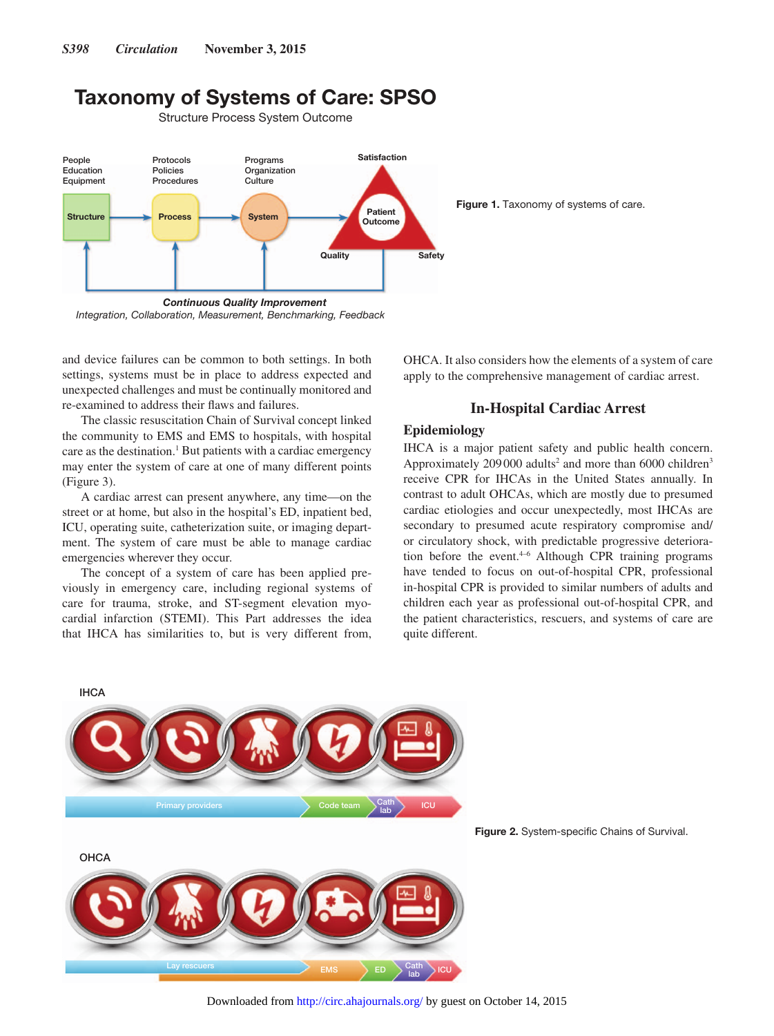

**Figure 1.** Taxonomy of systems of care.

and device failures can be common to both settings. In both settings, systems must be in place to address expected and unexpected challenges and must be continually monitored and re-examined to address their flaws and failures.

The classic resuscitation Chain of Survival concept linked the community to EMS and EMS to hospitals, with hospital care as the destination.<sup>1</sup> But patients with a cardiac emergency may enter the system of care at one of many different points (Figure 3).

A cardiac arrest can present anywhere, any time—on the street or at home, but also in the hospital's ED, inpatient bed, ICU, operating suite, catheterization suite, or imaging department. The system of care must be able to manage cardiac emergencies wherever they occur.

The concept of a system of care has been applied previously in emergency care, including regional systems of care for trauma, stroke, and ST-segment elevation myocardial infarction (STEMI). This Part addresses the idea that IHCA has similarities to, but is very different from,

OHCA. It also considers how the elements of a system of care apply to the comprehensive management of cardiac arrest.

## **In-Hospital Cardiac Arrest**

## **Epidemiology**

IHCA is a major patient safety and public health concern. Approximately 209 000 adults<sup>2</sup> and more than 6000 children<sup>3</sup> receive CPR for IHCAs in the United States annually. In contrast to adult OHCAs, which are mostly due to presumed cardiac etiologies and occur unexpectedly, most IHCAs are secondary to presumed acute respiratory compromise and/ or circulatory shock, with predictable progressive deterioration before the event.<sup>4-6</sup> Although CPR training programs have tended to focus on out-of-hospital CPR, professional in-hospital CPR is provided to similar numbers of adults and children each year as professional out-of-hospital CPR, and the patient characteristics, rescuers, and systems of care are quite different.





**Figure 2.** System-specific Chains of Survival.

Downloaded from<http://circ.ahajournals.org/>by guest on October 14, 2015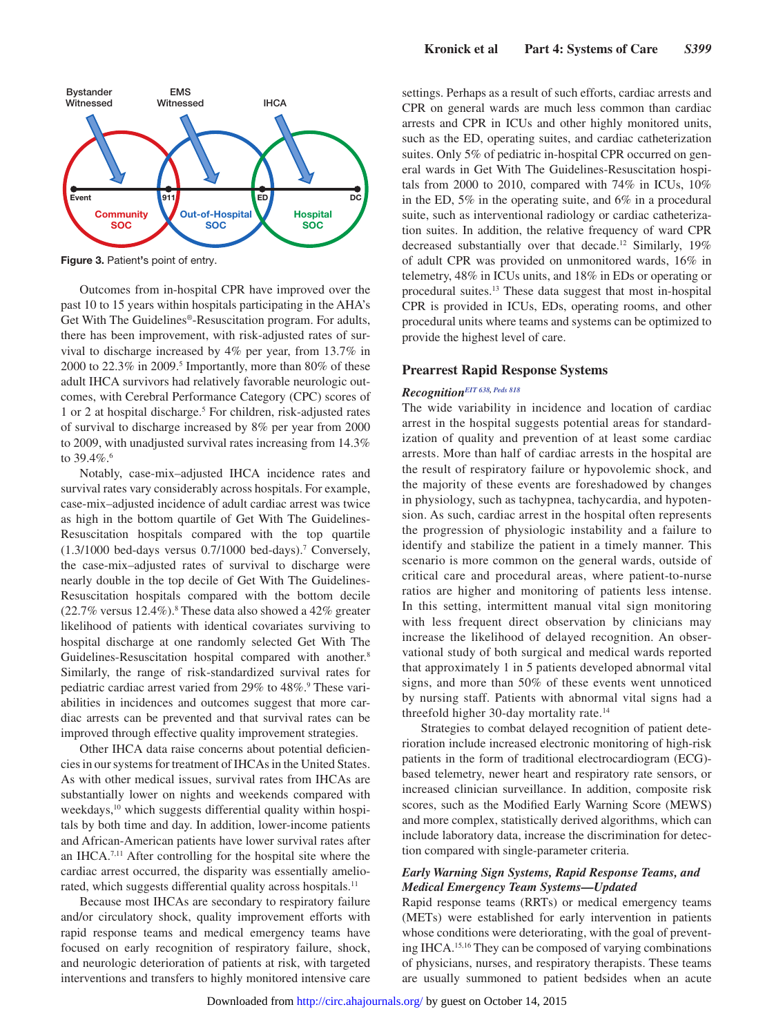

**Figure 3.** Patient**'**s point of entry.

Outcomes from in-hospital CPR have improved over the past 10 to 15 years within hospitals participating in the AHA's Get With The Guidelines®-Resuscitation program. For adults, there has been improvement, with risk-adjusted rates of survival to discharge increased by 4% per year, from 13.7% in 2000 to 22.3% in 2009.5 Importantly, more than 80% of these adult IHCA survivors had relatively favorable neurologic outcomes, with Cerebral Performance Category (CPC) scores of 1 or 2 at hospital discharge.5 For children, risk-adjusted rates of survival to discharge increased by 8% per year from 2000 to 2009, with unadjusted survival rates increasing from 14.3% to  $39.4\%$ .

Notably, case-mix–adjusted IHCA incidence rates and survival rates vary considerably across hospitals. For example, case-mix–adjusted incidence of adult cardiac arrest was twice as high in the bottom quartile of Get With The Guidelines-Resuscitation hospitals compared with the top quartile  $(1.3/1000$  bed-days versus  $0.7/1000$  bed-days).<sup>7</sup> Conversely, the case-mix–adjusted rates of survival to discharge were nearly double in the top decile of Get With The Guidelines-Resuscitation hospitals compared with the bottom decile  $(22.7\%$  versus  $12.4\%)$ .<sup>8</sup> These data also showed a  $42\%$  greater likelihood of patients with identical covariates surviving to hospital discharge at one randomly selected Get With The Guidelines-Resuscitation hospital compared with another.<sup>8</sup> Similarly, the range of risk-standardized survival rates for pediatric cardiac arrest varied from 29% to 48%.<sup>9</sup> These variabilities in incidences and outcomes suggest that more cardiac arrests can be prevented and that survival rates can be improved through effective quality improvement strategies.

Other IHCA data raise concerns about potential deficiencies in our systems for treatment of IHCAs in the United States. As with other medical issues, survival rates from IHCAs are substantially lower on nights and weekends compared with weekdays,<sup>10</sup> which suggests differential quality within hospitals by both time and day. In addition, lower-income patients and African-American patients have lower survival rates after an IHCA.7,11 After controlling for the hospital site where the cardiac arrest occurred, the disparity was essentially ameliorated, which suggests differential quality across hospitals.<sup>11</sup>

Because most IHCAs are secondary to respiratory failure and/or circulatory shock, quality improvement efforts with rapid response teams and medical emergency teams have focused on early recognition of respiratory failure, shock, and neurologic deterioration of patients at risk, with targeted interventions and transfers to highly monitored intensive care settings. Perhaps as a result of such efforts, cardiac arrests and CPR on general wards are much less common than cardiac arrests and CPR in ICUs and other highly monitored units, such as the ED, operating suites, and cardiac catheterization suites. Only 5% of pediatric in-hospital CPR occurred on general wards in Get With The Guidelines-Resuscitation hospitals from 2000 to 2010, compared with 74% in ICUs, 10% in the ED, 5% in the operating suite, and 6% in a procedural suite, such as interventional radiology or cardiac catheterization suites. In addition, the relative frequency of ward CPR decreased substantially over that decade.<sup>12</sup> Similarly, 19% of adult CPR was provided on unmonitored wards, 16% in telemetry, 48% in ICUs units, and 18% in EDs or operating or procedural suites.13 These data suggest that most in-hospital CPR is provided in ICUs, EDs, operating rooms, and other procedural units where teams and systems can be optimized to provide the highest level of care.

#### **Prearrest Rapid Response Systems**

# *Recognition[EIT 638](https://volunteer.heart.org/apps/pico/Pages/PublicComment.aspx?q=638), [Peds 818](https://volunteer.heart.org/apps/pico/Pages/PublicComment.aspx?q=818)*

The wide variability in incidence and location of cardiac arrest in the hospital suggests potential areas for standardization of quality and prevention of at least some cardiac arrests. More than half of cardiac arrests in the hospital are the result of respiratory failure or hypovolemic shock, and the majority of these events are foreshadowed by changes in physiology, such as tachypnea, tachycardia, and hypotension. As such, cardiac arrest in the hospital often represents the progression of physiologic instability and a failure to identify and stabilize the patient in a timely manner. This scenario is more common on the general wards, outside of critical care and procedural areas, where patient-to-nurse ratios are higher and monitoring of patients less intense. In this setting, intermittent manual vital sign monitoring with less frequent direct observation by clinicians may increase the likelihood of delayed recognition. An observational study of both surgical and medical wards reported that approximately 1 in 5 patients developed abnormal vital signs, and more than 50% of these events went unnoticed by nursing staff. Patients with abnormal vital signs had a threefold higher 30-day mortality rate.14

Strategies to combat delayed recognition of patient deterioration include increased electronic monitoring of high-risk patients in the form of traditional electrocardiogram (ECG) based telemetry, newer heart and respiratory rate sensors, or increased clinician surveillance. In addition, composite risk scores, such as the Modified Early Warning Score (MEWS) and more complex, statistically derived algorithms, which can include laboratory data, increase the discrimination for detection compared with single-parameter criteria.

#### *Early Warning Sign Systems, Rapid Response Teams, and Medical Emergency Team Systems—Updated*

Rapid response teams (RRTs) or medical emergency teams (METs) were established for early intervention in patients whose conditions were deteriorating, with the goal of preventing IHCA.15,16 They can be composed of varying combinations of physicians, nurses, and respiratory therapists. These teams are usually summoned to patient bedsides when an acute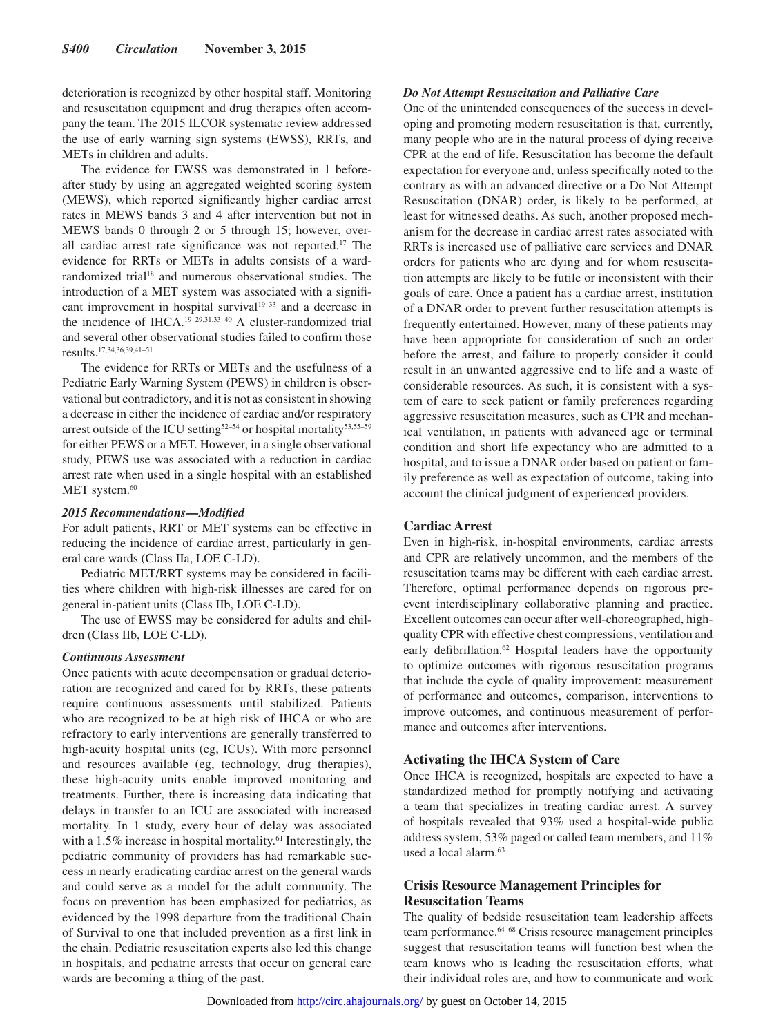deterioration is recognized by other hospital staff. Monitoring and resuscitation equipment and drug therapies often accompany the team. The 2015 ILCOR systematic review addressed the use of early warning sign systems (EWSS), RRTs, and METs in children and adults.

The evidence for EWSS was demonstrated in 1 beforeafter study by using an aggregated weighted scoring system (MEWS), which reported significantly higher cardiac arrest rates in MEWS bands 3 and 4 after intervention but not in MEWS bands 0 through 2 or 5 through 15; however, overall cardiac arrest rate significance was not reported.17 The evidence for RRTs or METs in adults consists of a wardrandomized trial<sup>18</sup> and numerous observational studies. The introduction of a MET system was associated with a significant improvement in hospital survival<sup>19–33</sup> and a decrease in the incidence of IHCA.19–29,31,33–40 A cluster-randomized trial and several other observational studies failed to confirm those results.17,34,36,39,41–51

The evidence for RRTs or METs and the usefulness of a Pediatric Early Warning System (PEWS) in children is observational but contradictory, and it is not as consistent in showing a decrease in either the incidence of cardiac and/or respiratory arrest outside of the ICU setting<sup>52-54</sup> or hospital mortality<sup>53,55-59</sup> for either PEWS or a MET. However, in a single observational study, PEWS use was associated with a reduction in cardiac arrest rate when used in a single hospital with an established MET system.<sup>60</sup>

#### *2015 Recommendations—Modified*

For adult patients, RRT or MET systems can be effective in reducing the incidence of cardiac arrest, particularly in general care wards (Class IIa, LOE C-LD).

Pediatric MET/RRT systems may be considered in facilities where children with high-risk illnesses are cared for on general in-patient units (Class IIb, LOE C-LD).

The use of EWSS may be considered for adults and children (Class IIb, LOE C-LD).

#### *Continuous Assessment*

Once patients with acute decompensation or gradual deterioration are recognized and cared for by RRTs, these patients require continuous assessments until stabilized. Patients who are recognized to be at high risk of IHCA or who are refractory to early interventions are generally transferred to high-acuity hospital units (eg, ICUs). With more personnel and resources available (eg, technology, drug therapies), these high-acuity units enable improved monitoring and treatments. Further, there is increasing data indicating that delays in transfer to an ICU are associated with increased mortality. In 1 study, every hour of delay was associated with a  $1.5\%$  increase in hospital mortality.<sup>61</sup> Interestingly, the pediatric community of providers has had remarkable success in nearly eradicating cardiac arrest on the general wards and could serve as a model for the adult community. The focus on prevention has been emphasized for pediatrics, as evidenced by the 1998 departure from the traditional Chain of Survival to one that included prevention as a first link in the chain. Pediatric resuscitation experts also led this change in hospitals, and pediatric arrests that occur on general care wards are becoming a thing of the past.

#### *Do Not Attempt Resuscitation and Palliative Care*

One of the unintended consequences of the success in developing and promoting modern resuscitation is that, currently, many people who are in the natural process of dying receive CPR at the end of life. Resuscitation has become the default expectation for everyone and, unless specifically noted to the contrary as with an advanced directive or a Do Not Attempt Resuscitation (DNAR) order, is likely to be performed, at least for witnessed deaths. As such, another proposed mechanism for the decrease in cardiac arrest rates associated with RRTs is increased use of palliative care services and DNAR orders for patients who are dying and for whom resuscitation attempts are likely to be futile or inconsistent with their goals of care. Once a patient has a cardiac arrest, institution of a DNAR order to prevent further resuscitation attempts is frequently entertained. However, many of these patients may have been appropriate for consideration of such an order before the arrest, and failure to properly consider it could result in an unwanted aggressive end to life and a waste of considerable resources. As such, it is consistent with a system of care to seek patient or family preferences regarding aggressive resuscitation measures, such as CPR and mechanical ventilation, in patients with advanced age or terminal condition and short life expectancy who are admitted to a hospital, and to issue a DNAR order based on patient or family preference as well as expectation of outcome, taking into account the clinical judgment of experienced providers.

## **Cardiac Arrest**

Even in high-risk, in-hospital environments, cardiac arrests and CPR are relatively uncommon, and the members of the resuscitation teams may be different with each cardiac arrest. Therefore, optimal performance depends on rigorous preevent interdisciplinary collaborative planning and practice. Excellent outcomes can occur after well-choreographed, highquality CPR with effective chest compressions, ventilation and early defibrillation.<sup>62</sup> Hospital leaders have the opportunity to optimize outcomes with rigorous resuscitation programs that include the cycle of quality improvement: measurement of performance and outcomes, comparison, interventions to improve outcomes, and continuous measurement of performance and outcomes after interventions.

#### **Activating the IHCA System of Care**

Once IHCA is recognized, hospitals are expected to have a standardized method for promptly notifying and activating a team that specializes in treating cardiac arrest. A survey of hospitals revealed that 93% used a hospital-wide public address system, 53% paged or called team members, and 11% used a local alarm.<sup>63</sup>

## **Crisis Resource Management Principles for Resuscitation Teams**

The quality of bedside resuscitation team leadership affects team performance.<sup>64–68</sup> Crisis resource management principles suggest that resuscitation teams will function best when the team knows who is leading the resuscitation efforts, what their individual roles are, and how to communicate and work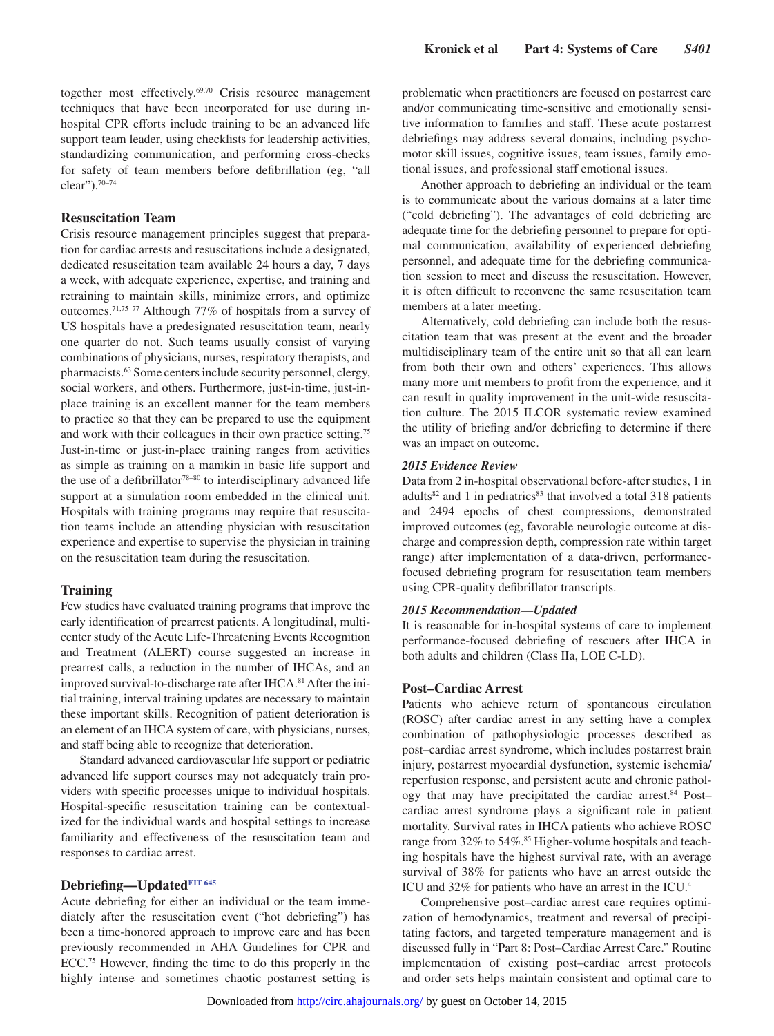together most effectively.<sup>69,70</sup> Crisis resource management techniques that have been incorporated for use during inhospital CPR efforts include training to be an advanced life support team leader, using checklists for leadership activities, standardizing communication, and performing cross-checks for safety of team members before defibrillation (eg, "all clear").70–74

## **Resuscitation Team**

Crisis resource management principles suggest that preparation for cardiac arrests and resuscitations include a designated, dedicated resuscitation team available 24 hours a day, 7 days a week, with adequate experience, expertise, and training and retraining to maintain skills, minimize errors, and optimize outcomes.71,75–77 Although 77% of hospitals from a survey of US hospitals have a predesignated resuscitation team, nearly one quarter do not. Such teams usually consist of varying combinations of physicians, nurses, respiratory therapists, and pharmacists.63 Some centers include security personnel, clergy, social workers, and others. Furthermore, just-in-time, just-inplace training is an excellent manner for the team members to practice so that they can be prepared to use the equipment and work with their colleagues in their own practice setting.75 Just-in-time or just-in-place training ranges from activities as simple as training on a manikin in basic life support and the use of a defibrillator<sup>78–80</sup> to interdisciplinary advanced life support at a simulation room embedded in the clinical unit. Hospitals with training programs may require that resuscitation teams include an attending physician with resuscitation experience and expertise to supervise the physician in training on the resuscitation team during the resuscitation.

## **Training**

Few studies have evaluated training programs that improve the early identification of prearrest patients. A longitudinal, multicenter study of the Acute Life-Threatening Events Recognition and Treatment (ALERT) course suggested an increase in prearrest calls, a reduction in the number of IHCAs, and an improved survival-to-discharge rate after IHCA.<sup>81</sup> After the initial training, interval training updates are necessary to maintain these important skills. Recognition of patient deterioration is an element of an IHCA system of care, with physicians, nurses, and staff being able to recognize that deterioration.

Standard advanced cardiovascular life support or pediatric advanced life support courses may not adequately train providers with specific processes unique to individual hospitals. Hospital-specific resuscitation training can be contextualized for the individual wards and hospital settings to increase familiarity and effectiveness of the resuscitation team and responses to cardiac arrest.

## **Debriefing—Update[dEIT 645](https://volunteer.heart.org/apps/pico/Pages/PublicComment.aspx?q=645)**

Acute debriefing for either an individual or the team immediately after the resuscitation event ("hot debriefing") has been a time-honored approach to improve care and has been previously recommended in AHA Guidelines for CPR and ECC.75 However, finding the time to do this properly in the highly intense and sometimes chaotic postarrest setting is problematic when practitioners are focused on postarrest care and/or communicating time-sensitive and emotionally sensitive information to families and staff. These acute postarrest debriefings may address several domains, including psychomotor skill issues, cognitive issues, team issues, family emotional issues, and professional staff emotional issues.

Another approach to debriefing an individual or the team is to communicate about the various domains at a later time ("cold debriefing"). The advantages of cold debriefing are adequate time for the debriefing personnel to prepare for optimal communication, availability of experienced debriefing personnel, and adequate time for the debriefing communication session to meet and discuss the resuscitation. However, it is often difficult to reconvene the same resuscitation team members at a later meeting.

Alternatively, cold debriefing can include both the resuscitation team that was present at the event and the broader multidisciplinary team of the entire unit so that all can learn from both their own and others' experiences. This allows many more unit members to profit from the experience, and it can result in quality improvement in the unit-wide resuscitation culture. The 2015 ILCOR systematic review examined the utility of briefing and/or debriefing to determine if there was an impact on outcome.

#### *2015 Evidence Review*

Data from 2 in-hospital observational before-after studies, 1 in adults<sup>82</sup> and 1 in pediatrics<sup>83</sup> that involved a total 318 patients and 2494 epochs of chest compressions, demonstrated improved outcomes (eg, favorable neurologic outcome at discharge and compression depth, compression rate within target range) after implementation of a data-driven, performancefocused debriefing program for resuscitation team members using CPR-quality defibrillator transcripts.

#### *2015 Recommendation—Updated*

It is reasonable for in-hospital systems of care to implement performance-focused debriefing of rescuers after IHCA in both adults and children (Class IIa, LOE C-LD).

## **Post–Cardiac Arrest**

Patients who achieve return of spontaneous circulation (ROSC) after cardiac arrest in any setting have a complex combination of pathophysiologic processes described as post–cardiac arrest syndrome, which includes postarrest brain injury, postarrest myocardial dysfunction, systemic ischemia/ reperfusion response, and persistent acute and chronic pathology that may have precipitated the cardiac arrest.<sup>84</sup> Postcardiac arrest syndrome plays a significant role in patient mortality. Survival rates in IHCA patients who achieve ROSC range from 32% to 54%.<sup>85</sup> Higher-volume hospitals and teaching hospitals have the highest survival rate, with an average survival of 38% for patients who have an arrest outside the ICU and 32% for patients who have an arrest in the ICU.4

Comprehensive post–cardiac arrest care requires optimization of hemodynamics, treatment and reversal of precipitating factors, and targeted temperature management and is discussed fully in "Part 8: Post–Cardiac Arrest Care." Routine implementation of existing post–cardiac arrest protocols and order sets helps maintain consistent and optimal care to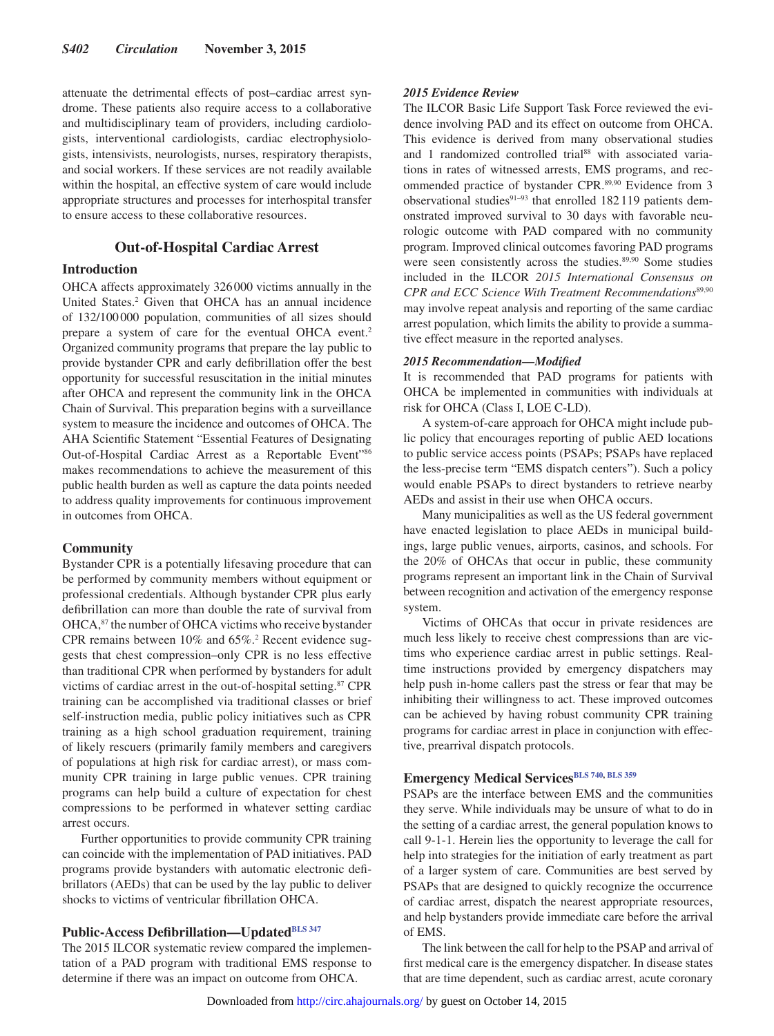attenuate the detrimental effects of post–cardiac arrest syndrome. These patients also require access to a collaborative and multidisciplinary team of providers, including cardiologists, interventional cardiologists, cardiac electrophysiologists, intensivists, neurologists, nurses, respiratory therapists, and social workers. If these services are not readily available within the hospital, an effective system of care would include appropriate structures and processes for interhospital transfer to ensure access to these collaborative resources.

## **Out-of-Hospital Cardiac Arrest**

## **Introduction**

OHCA affects approximately 326000 victims annually in the United States.<sup>2</sup> Given that OHCA has an annual incidence of 132/100 000 population, communities of all sizes should prepare a system of care for the eventual OHCA event.2 Organized community programs that prepare the lay public to provide bystander CPR and early defibrillation offer the best opportunity for successful resuscitation in the initial minutes after OHCA and represent the community link in the OHCA Chain of Survival. This preparation begins with a surveillance system to measure the incidence and outcomes of OHCA. The AHA Scientific Statement "Essential Features of Designating Out-of-Hospital Cardiac Arrest as a Reportable Event"86 makes recommendations to achieve the measurement of this public health burden as well as capture the data points needed to address quality improvements for continuous improvement in outcomes from OHCA.

#### **Community**

Bystander CPR is a potentially lifesaving procedure that can be performed by community members without equipment or professional credentials. Although bystander CPR plus early defibrillation can more than double the rate of survival from OHCA,<sup>87</sup> the number of OHCA victims who receive bystander CPR remains between 10% and 65%.2 Recent evidence suggests that chest compression–only CPR is no less effective than traditional CPR when performed by bystanders for adult victims of cardiac arrest in the out-of-hospital setting. $87$  CPR training can be accomplished via traditional classes or brief self-instruction media, public policy initiatives such as CPR training as a high school graduation requirement, training of likely rescuers (primarily family members and caregivers of populations at high risk for cardiac arrest), or mass community CPR training in large public venues. CPR training programs can help build a culture of expectation for chest compressions to be performed in whatever setting cardiac arrest occurs.

Further opportunities to provide community CPR training can coincide with the implementation of PAD initiatives. PAD programs provide bystanders with automatic electronic defibrillators (AEDs) that can be used by the lay public to deliver shocks to victims of ventricular fibrillation OHCA.

# **Public-Access Defibrillation—Updated[BLS 347](https://volunteer.heart.org/apps/pico/Pages/PublicComment.aspx?q=347)**

The 2015 ILCOR systematic review compared the implementation of a PAD program with traditional EMS response to determine if there was an impact on outcome from OHCA.

#### *2015 Evidence Review*

The ILCOR Basic Life Support Task Force reviewed the evidence involving PAD and its effect on outcome from OHCA. This evidence is derived from many observational studies and 1 randomized controlled trial<sup>88</sup> with associated variations in rates of witnessed arrests, EMS programs, and recommended practice of bystander CPR.<sup>89,90</sup> Evidence from 3 observational studies $91-93$  that enrolled 182119 patients demonstrated improved survival to 30 days with favorable neurologic outcome with PAD compared with no community program. Improved clinical outcomes favoring PAD programs were seen consistently across the studies.<sup>89,90</sup> Some studies included in the ILCOR *2015 International Consensus on CPR and ECC Science With Treatment Recommendations*89,90 may involve repeat analysis and reporting of the same cardiac arrest population, which limits the ability to provide a summative effect measure in the reported analyses.

#### *2015 Recommendation—Modified*

It is recommended that PAD programs for patients with OHCA be implemented in communities with individuals at risk for OHCA (Class I, LOE C-LD).

A system-of-care approach for OHCA might include public policy that encourages reporting of public AED locations to public service access points (PSAPs; PSAPs have replaced the less-precise term "EMS dispatch centers"). Such a policy would enable PSAPs to direct bystanders to retrieve nearby AEDs and assist in their use when OHCA occurs.

Many municipalities as well as the US federal government have enacted legislation to place AEDs in municipal buildings, large public venues, airports, casinos, and schools. For the 20% of OHCAs that occur in public, these community programs represent an important link in the Chain of Survival between recognition and activation of the emergency response system.

Victims of OHCAs that occur in private residences are much less likely to receive chest compressions than are victims who experience cardiac arrest in public settings. Realtime instructions provided by emergency dispatchers may help push in-home callers past the stress or fear that may be inhibiting their willingness to act. These improved outcomes can be achieved by having robust community CPR training programs for cardiac arrest in place in conjunction with effective, prearrival dispatch protocols.

# **Emergency Medical Services[BLS 740,](https://volunteer.heart.org/apps/pico/Pages/PublicComment.aspx?q=740) [BLS 359](https://volunteer.heart.org/apps/pico/Pages/PublicComment.aspx?q=359)**

PSAPs are the interface between EMS and the communities they serve. While individuals may be unsure of what to do in the setting of a cardiac arrest, the general population knows to call 9-1-1. Herein lies the opportunity to leverage the call for help into strategies for the initiation of early treatment as part of a larger system of care. Communities are best served by PSAPs that are designed to quickly recognize the occurrence of cardiac arrest, dispatch the nearest appropriate resources, and help bystanders provide immediate care before the arrival of EMS.

The link between the call for help to the PSAP and arrival of first medical care is the emergency dispatcher. In disease states that are time dependent, such as cardiac arrest, acute coronary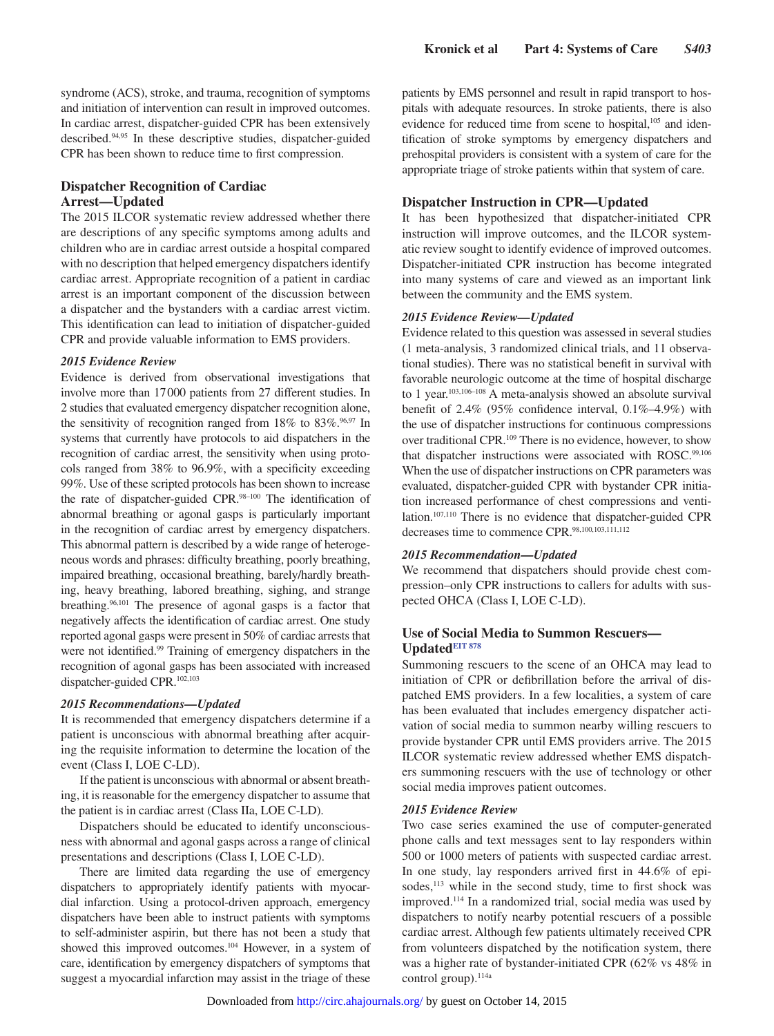syndrome (ACS), stroke, and trauma, recognition of symptoms and initiation of intervention can result in improved outcomes. In cardiac arrest, dispatcher-guided CPR has been extensively described.94,95 In these descriptive studies, dispatcher-guided CPR has been shown to reduce time to first compression.

## **Dispatcher Recognition of Cardiac Arrest—Updated**

The 2015 ILCOR systematic review addressed whether there are descriptions of any specific symptoms among adults and children who are in cardiac arrest outside a hospital compared with no description that helped emergency dispatchers identify cardiac arrest. Appropriate recognition of a patient in cardiac arrest is an important component of the discussion between a dispatcher and the bystanders with a cardiac arrest victim. This identification can lead to initiation of dispatcher-guided CPR and provide valuable information to EMS providers.

## *2015 Evidence Review*

Evidence is derived from observational investigations that involve more than 17000 patients from 27 different studies. In 2 studies that evaluated emergency dispatcher recognition alone, the sensitivity of recognition ranged from  $18\%$  to  $83\%$ .<sup>96,97</sup> In systems that currently have protocols to aid dispatchers in the recognition of cardiac arrest, the sensitivity when using protocols ranged from 38% to 96.9%, with a specificity exceeding 99%. Use of these scripted protocols has been shown to increase the rate of dispatcher-guided CPR.98-100 The identification of abnormal breathing or agonal gasps is particularly important in the recognition of cardiac arrest by emergency dispatchers. This abnormal pattern is described by a wide range of heterogeneous words and phrases: difficulty breathing, poorly breathing, impaired breathing, occasional breathing, barely/hardly breathing, heavy breathing, labored breathing, sighing, and strange breathing.<sup>96,101</sup> The presence of agonal gasps is a factor that negatively affects the identification of cardiac arrest. One study reported agonal gasps were present in 50% of cardiac arrests that were not identified.<sup>99</sup> Training of emergency dispatchers in the recognition of agonal gasps has been associated with increased dispatcher-guided CPR.102,103

#### *2015 Recommendations—Updated*

It is recommended that emergency dispatchers determine if a patient is unconscious with abnormal breathing after acquiring the requisite information to determine the location of the event (Class I, LOE C-LD).

If the patient is unconscious with abnormal or absent breathing, it is reasonable for the emergency dispatcher to assume that the patient is in cardiac arrest (Class IIa, LOE C-LD).

Dispatchers should be educated to identify unconsciousness with abnormal and agonal gasps across a range of clinical presentations and descriptions (Class I, LOE C-LD).

There are limited data regarding the use of emergency dispatchers to appropriately identify patients with myocardial infarction. Using a protocol-driven approach, emergency dispatchers have been able to instruct patients with symptoms to self-administer aspirin, but there has not been a study that showed this improved outcomes.<sup>104</sup> However, in a system of care, identification by emergency dispatchers of symptoms that suggest a myocardial infarction may assist in the triage of these patients by EMS personnel and result in rapid transport to hospitals with adequate resources. In stroke patients, there is also evidence for reduced time from scene to hospital,<sup>105</sup> and identification of stroke symptoms by emergency dispatchers and prehospital providers is consistent with a system of care for the appropriate triage of stroke patients within that system of care.

## **Dispatcher Instruction in CPR—Updated**

It has been hypothesized that dispatcher-initiated CPR instruction will improve outcomes, and the ILCOR systematic review sought to identify evidence of improved outcomes. Dispatcher-initiated CPR instruction has become integrated into many systems of care and viewed as an important link between the community and the EMS system.

## *2015 Evidence Review—Updated*

Evidence related to this question was assessed in several studies (1 meta-analysis, 3 randomized clinical trials, and 11 observational studies). There was no statistical benefit in survival with favorable neurologic outcome at the time of hospital discharge to 1 year.103,106–108 A meta-analysis showed an absolute survival benefit of 2.4% (95% confidence interval, 0.1%–4.9%) with the use of dispatcher instructions for continuous compressions over traditional CPR.109 There is no evidence, however, to show that dispatcher instructions were associated with ROSC.<sup>99,106</sup> When the use of dispatcher instructions on CPR parameters was evaluated, dispatcher-guided CPR with bystander CPR initiation increased performance of chest compressions and ventilation.107,110 There is no evidence that dispatcher-guided CPR decreases time to commence CPR.<sup>98,100,103,111,112</sup>

## *2015 Recommendation—Updated*

We recommend that dispatchers should provide chest compression–only CPR instructions to callers for adults with suspected OHCA (Class I, LOE C-LD).

## **Use of Social Media to Summon Rescuers— Updated[EIT 878](https://volunteer.heart.org/apps/pico/Pages/PublicComment.aspx?q=878)**

Summoning rescuers to the scene of an OHCA may lead to initiation of CPR or defibrillation before the arrival of dispatched EMS providers. In a few localities, a system of care has been evaluated that includes emergency dispatcher activation of social media to summon nearby willing rescuers to provide bystander CPR until EMS providers arrive. The 2015 ILCOR systematic review addressed whether EMS dispatchers summoning rescuers with the use of technology or other social media improves patient outcomes.

## *2015 Evidence Review*

Two case series examined the use of computer-generated phone calls and text messages sent to lay responders within 500 or 1000 meters of patients with suspected cardiac arrest. In one study, lay responders arrived first in 44.6% of episodes,<sup>113</sup> while in the second study, time to first shock was improved.114 In a randomized trial, social media was used by dispatchers to notify nearby potential rescuers of a possible cardiac arrest. Although few patients ultimately received CPR from volunteers dispatched by the notification system, there was a higher rate of bystander-initiated CPR (62% vs 48% in control group).<sup>114a</sup>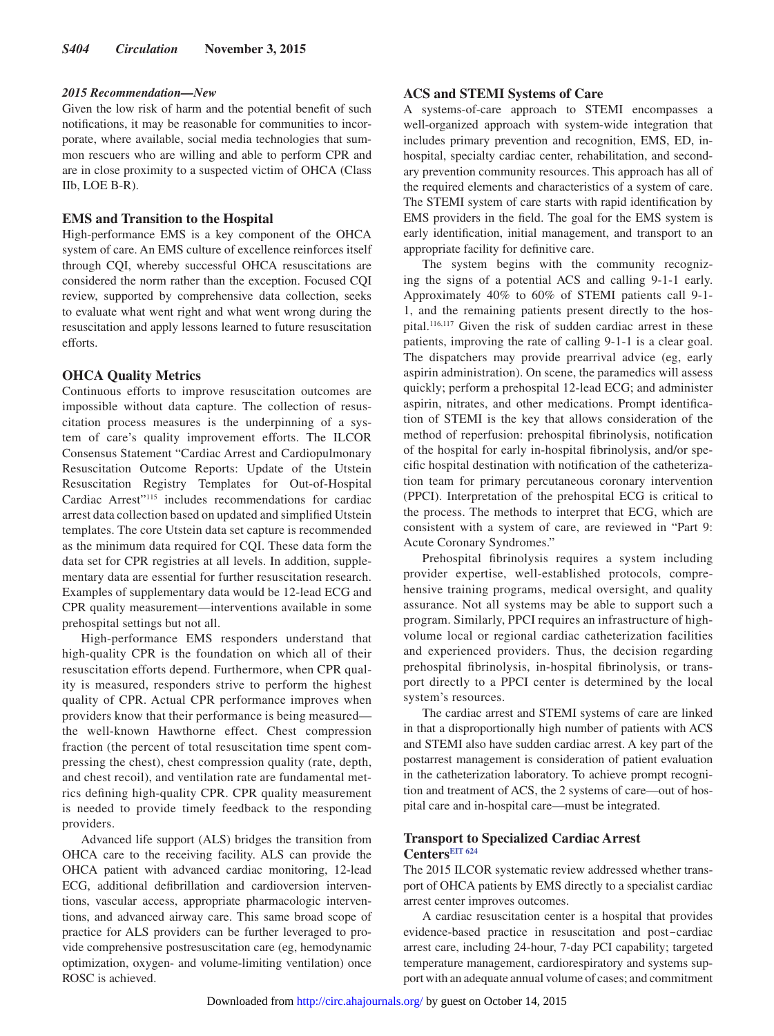#### *2015 Recommendation—New*

Given the low risk of harm and the potential benefit of such notifications, it may be reasonable for communities to incorporate, where available, social media technologies that summon rescuers who are willing and able to perform CPR and are in close proximity to a suspected victim of OHCA (Class IIb, LOE B-R).

## **EMS and Transition to the Hospital**

High-performance EMS is a key component of the OHCA system of care. An EMS culture of excellence reinforces itself through CQI, whereby successful OHCA resuscitations are considered the norm rather than the exception. Focused CQI review, supported by comprehensive data collection, seeks to evaluate what went right and what went wrong during the resuscitation and apply lessons learned to future resuscitation efforts.

#### **OHCA Quality Metrics**

Continuous efforts to improve resuscitation outcomes are impossible without data capture. The collection of resuscitation process measures is the underpinning of a system of care's quality improvement efforts. The ILCOR Consensus Statement "Cardiac Arrest and Cardiopulmonary Resuscitation Outcome Reports: Update of the Utstein Resuscitation Registry Templates for Out-of-Hospital Cardiac Arrest"115 includes recommendations for cardiac arrest data collection based on updated and simplified Utstein templates. The core Utstein data set capture is recommended as the minimum data required for CQI. These data form the data set for CPR registries at all levels. In addition, supplementary data are essential for further resuscitation research. Examples of supplementary data would be 12-lead ECG and CPR quality measurement—interventions available in some prehospital settings but not all.

High-performance EMS responders understand that high-quality CPR is the foundation on which all of their resuscitation efforts depend. Furthermore, when CPR quality is measured, responders strive to perform the highest quality of CPR. Actual CPR performance improves when providers know that their performance is being measured the well-known Hawthorne effect. Chest compression fraction (the percent of total resuscitation time spent compressing the chest), chest compression quality (rate, depth, and chest recoil), and ventilation rate are fundamental metrics defining high-quality CPR. CPR quality measurement is needed to provide timely feedback to the responding providers.

Advanced life support (ALS) bridges the transition from OHCA care to the receiving facility. ALS can provide the OHCA patient with advanced cardiac monitoring, 12-lead ECG, additional defibrillation and cardioversion interventions, vascular access, appropriate pharmacologic interventions, and advanced airway care. This same broad scope of practice for ALS providers can be further leveraged to provide comprehensive postresuscitation care (eg, hemodynamic optimization, oxygen- and volume-limiting ventilation) once ROSC is achieved.

## **ACS and STEMI Systems of Care**

A systems-of-care approach to STEMI encompasses a well-organized approach with system-wide integration that includes primary prevention and recognition, EMS, ED, inhospital, specialty cardiac center, rehabilitation, and secondary prevention community resources. This approach has all of the required elements and characteristics of a system of care. The STEMI system of care starts with rapid identification by EMS providers in the field. The goal for the EMS system is early identification, initial management, and transport to an appropriate facility for definitive care.

The system begins with the community recognizing the signs of a potential ACS and calling 9-1-1 early. Approximately 40% to 60% of STEMI patients call 9-1- 1, and the remaining patients present directly to the hospital.<sup>116,117</sup> Given the risk of sudden cardiac arrest in these patients, improving the rate of calling 9-1-1 is a clear goal. The dispatchers may provide prearrival advice (eg, early aspirin administration). On scene, the paramedics will assess quickly; perform a prehospital 12-lead ECG; and administer aspirin, nitrates, and other medications. Prompt identification of STEMI is the key that allows consideration of the method of reperfusion: prehospital fibrinolysis, notification of the hospital for early in-hospital fibrinolysis, and/or specific hospital destination with notification of the catheterization team for primary percutaneous coronary intervention (PPCI). Interpretation of the prehospital ECG is critical to the process. The methods to interpret that ECG, which are consistent with a system of care, are reviewed in "Part 9: Acute Coronary Syndromes."

Prehospital fibrinolysis requires a system including provider expertise, well-established protocols, comprehensive training programs, medical oversight, and quality assurance. Not all systems may be able to support such a program. Similarly, PPCI requires an infrastructure of highvolume local or regional cardiac catheterization facilities and experienced providers. Thus, the decision regarding prehospital fibrinolysis, in-hospital fibrinolysis, or transport directly to a PPCI center is determined by the local system's resources.

The cardiac arrest and STEMI systems of care are linked in that a disproportionally high number of patients with ACS and STEMI also have sudden cardiac arrest. A key part of the postarrest management is consideration of patient evaluation in the catheterization laboratory. To achieve prompt recognition and treatment of ACS, the 2 systems of care—out of hospital care and in-hospital care—must be integrated.

## **Transport to Specialized Cardiac Arrest Centers[EIT 624](https://volunteer.heart.org/apps/pico/Pages/PublicComment.aspx?q=624)**

The 2015 ILCOR systematic review addressed whether transport of OHCA patients by EMS directly to a specialist cardiac arrest center improves outcomes.

A cardiac resuscitation center is a hospital that provides evidence-based practice in resuscitation and post-cardiac arrest care, including 24-hour, 7-day PCI capability; targeted temperature management, cardiorespiratory and systems support with an adequate annual volume of cases; and commitment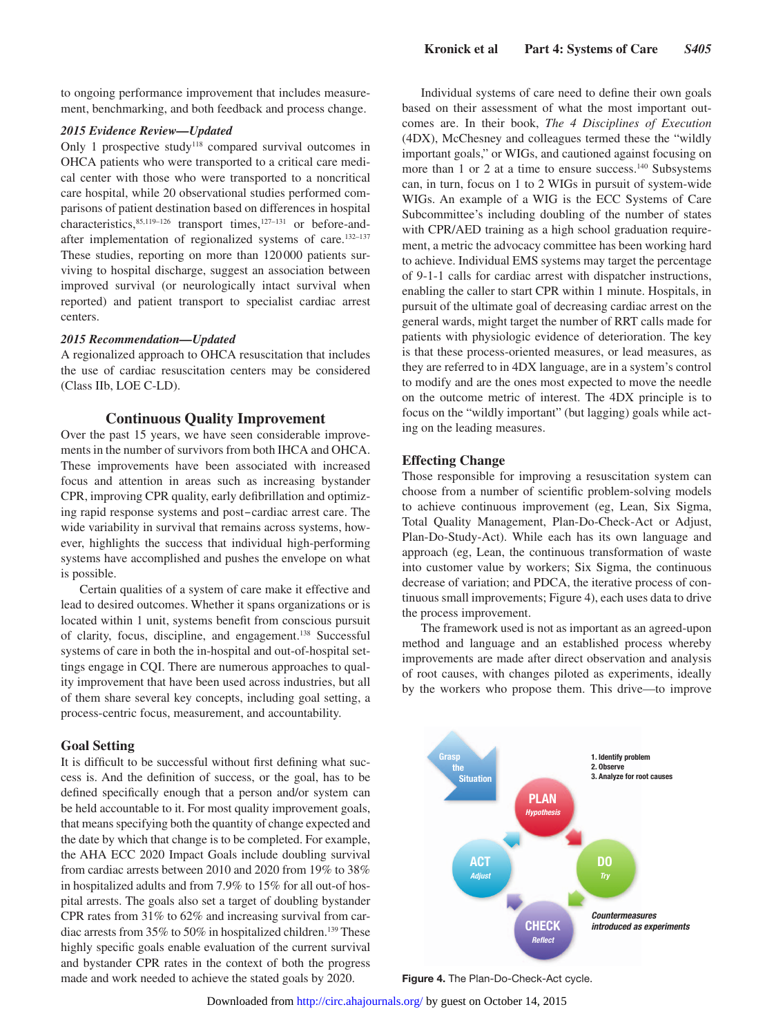#### *2015 Evidence Review—Updated*

Only 1 prospective study<sup>118</sup> compared survival outcomes in OHCA patients who were transported to a critical care medical center with those who were transported to a noncritical care hospital, while 20 observational studies performed comparisons of patient destination based on differences in hospital characteristics, $85,119-126$  transport times, $127-131$  or before-andafter implementation of regionalized systems of care.132–137 These studies, reporting on more than 120 000 patients surviving to hospital discharge, suggest an association between improved survival (or neurologically intact survival when reported) and patient transport to specialist cardiac arrest centers.

## *2015 Recommendation—Updated*

A regionalized approach to OHCA resuscitation that includes the use of cardiac resuscitation centers may be considered (Class IIb, LOE C-LD).

#### **Continuous Quality Improvement**

Over the past 15 years, we have seen considerable improvements in the number of survivors from both IHCA and OHCA. These improvements have been associated with increased focus and attention in areas such as increasing bystander CPR, improving CPR quality, early defibrillation and optimizing rapid response systems and post-cardiac arrest care. The wide variability in survival that remains across systems, however, highlights the success that individual high-performing systems have accomplished and pushes the envelope on what is possible.

Certain qualities of a system of care make it effective and lead to desired outcomes. Whether it spans organizations or is located within 1 unit, systems benefit from conscious pursuit of clarity, focus, discipline, and engagement.138 Successful systems of care in both the in-hospital and out-of-hospital settings engage in CQI. There are numerous approaches to quality improvement that have been used across industries, but all of them share several key concepts, including goal setting, a process-centric focus, measurement, and accountability.

## **Goal Setting**

It is difficult to be successful without first defining what success is. And the definition of success, or the goal, has to be defined specifically enough that a person and/or system can be held accountable to it. For most quality improvement goals, that means specifying both the quantity of change expected and the date by which that change is to be completed. For example, the AHA ECC 2020 Impact Goals include doubling survival from cardiac arrests between 2010 and 2020 from 19% to 38% in hospitalized adults and from 7.9% to 15% for all out-of hospital arrests. The goals also set a target of doubling bystander CPR rates from 31% to 62% and increasing survival from cardiac arrests from  $35\%$  to  $50\%$  in hospitalized children.<sup>139</sup> These highly specific goals enable evaluation of the current survival and bystander CPR rates in the context of both the progress made and work needed to achieve the stated goals by 2020.

Individual systems of care need to define their own goals based on their assessment of what the most important outcomes are. In their book, *The 4 Disciplines of Execution* (4DX), McChesney and colleagues termed these the "wildly important goals," or WIGs, and cautioned against focusing on more than 1 or 2 at a time to ensure success.<sup>140</sup> Subsystems can, in turn, focus on 1 to 2 WIGs in pursuit of system-wide WIGs. An example of a WIG is the ECC Systems of Care Subcommittee's including doubling of the number of states with CPR/AED training as a high school graduation requirement, a metric the advocacy committee has been working hard to achieve. Individual EMS systems may target the percentage of 9-1-1 calls for cardiac arrest with dispatcher instructions, enabling the caller to start CPR within 1 minute. Hospitals, in pursuit of the ultimate goal of decreasing cardiac arrest on the general wards, might target the number of RRT calls made for patients with physiologic evidence of deterioration. The key is that these process-oriented measures, or lead measures, as they are referred to in 4DX language, are in a system's control to modify and are the ones most expected to move the needle on the outcome metric of interest. The 4DX principle is to focus on the "wildly important" (but lagging) goals while acting on the leading measures.

#### **Effecting Change**

Those responsible for improving a resuscitation system can choose from a number of scientific problem-solving models to achieve continuous improvement (eg, Lean, Six Sigma, Total Quality Management, Plan-Do-Check-Act or Adjust, Plan-Do-Study-Act). While each has its own language and approach (eg, Lean, the continuous transformation of waste into customer value by workers; Six Sigma, the continuous decrease of variation; and PDCA, the iterative process of continuous small improvements; Figure 4), each uses data to drive the process improvement.

The framework used is not as important as an agreed-upon method and language and an established process whereby improvements are made after direct observation and analysis of root causes, with changes piloted as experiments, ideally by the workers who propose them. This drive—to improve



**Figure 4.** The Plan-Do-Check-Act cycle.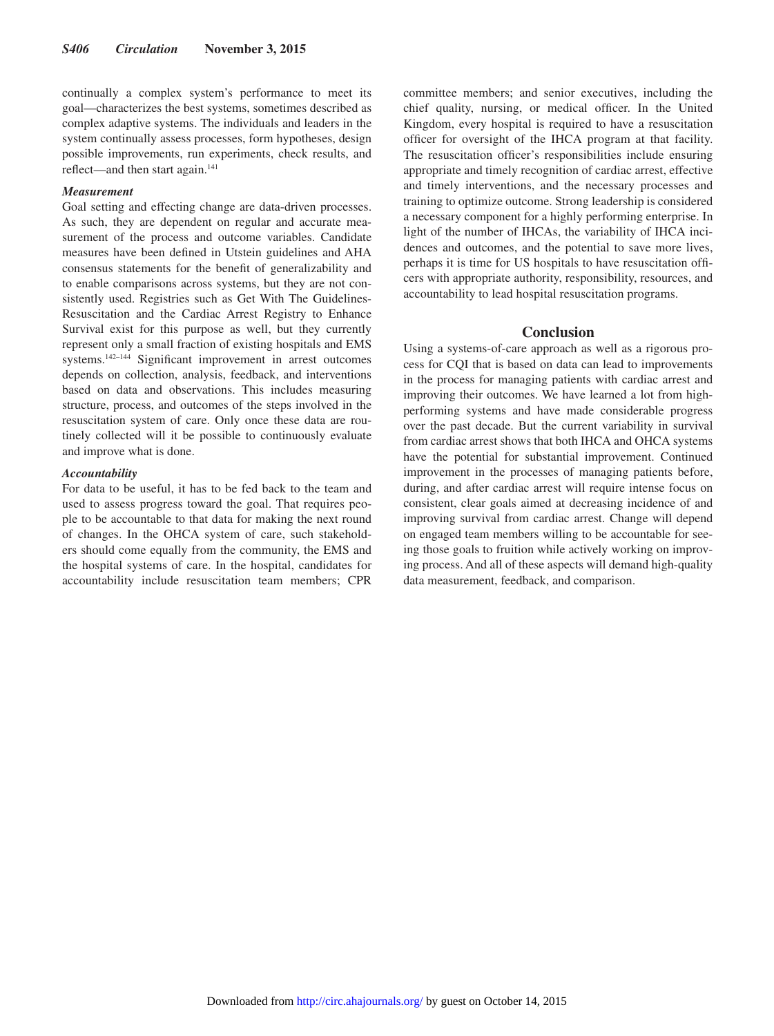continually a complex system's performance to meet its goal—characterizes the best systems, sometimes described as complex adaptive systems. The individuals and leaders in the system continually assess processes, form hypotheses, design possible improvements, run experiments, check results, and reflect—and then start again.141

## *Measurement*

Goal setting and effecting change are data-driven processes. As such, they are dependent on regular and accurate measurement of the process and outcome variables. Candidate measures have been defined in Utstein guidelines and AHA consensus statements for the benefit of generalizability and to enable comparisons across systems, but they are not consistently used. Registries such as Get With The Guidelines-Resuscitation and the Cardiac Arrest Registry to Enhance Survival exist for this purpose as well, but they currently represent only a small fraction of existing hospitals and EMS systems.142–144 Significant improvement in arrest outcomes depends on collection, analysis, feedback, and interventions based on data and observations. This includes measuring structure, process, and outcomes of the steps involved in the resuscitation system of care. Only once these data are routinely collected will it be possible to continuously evaluate and improve what is done.

#### *Accountability*

For data to be useful, it has to be fed back to the team and used to assess progress toward the goal. That requires people to be accountable to that data for making the next round of changes. In the OHCA system of care, such stakeholders should come equally from the community, the EMS and the hospital systems of care. In the hospital, candidates for accountability include resuscitation team members; CPR committee members; and senior executives, including the chief quality, nursing, or medical officer. In the United Kingdom, every hospital is required to have a resuscitation officer for oversight of the IHCA program at that facility. The resuscitation officer's responsibilities include ensuring appropriate and timely recognition of cardiac arrest, effective and timely interventions, and the necessary processes and training to optimize outcome. Strong leadership is considered a necessary component for a highly performing enterprise. In light of the number of IHCAs, the variability of IHCA incidences and outcomes, and the potential to save more lives, perhaps it is time for US hospitals to have resuscitation officers with appropriate authority, responsibility, resources, and accountability to lead hospital resuscitation programs.

## **Conclusion**

Using a systems-of-care approach as well as a rigorous process for CQI that is based on data can lead to improvements in the process for managing patients with cardiac arrest and improving their outcomes. We have learned a lot from highperforming systems and have made considerable progress over the past decade. But the current variability in survival from cardiac arrest shows that both IHCA and OHCA systems have the potential for substantial improvement. Continued improvement in the processes of managing patients before, during, and after cardiac arrest will require intense focus on consistent, clear goals aimed at decreasing incidence of and improving survival from cardiac arrest. Change will depend on engaged team members willing to be accountable for seeing those goals to fruition while actively working on improving process. And all of these aspects will demand high-quality data measurement, feedback, and comparison.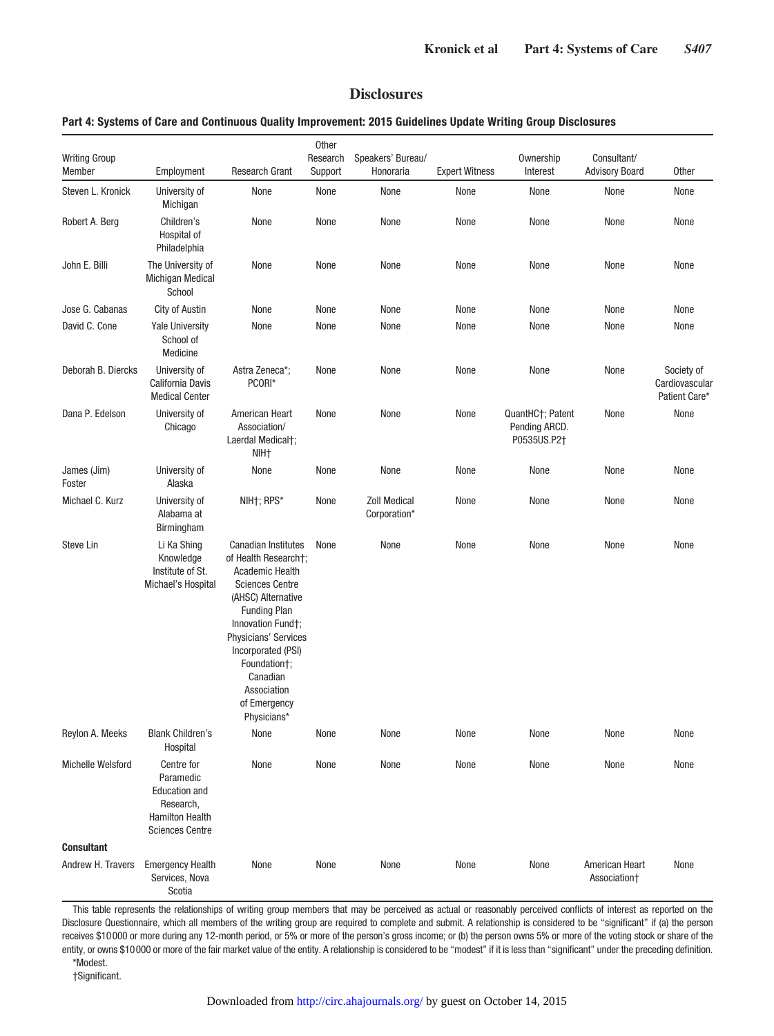## **Disclosures**

## **Part 4: Systems of Care and Continuous Quality Improvement: 2015 Guidelines Update Writing Group Disclosures**

|                                |                                                                                                           |                                                                                                                                                                                                                                                                                                  | <b>Other</b>        |                                     |                       |                                                  |                                      |                                               |
|--------------------------------|-----------------------------------------------------------------------------------------------------------|--------------------------------------------------------------------------------------------------------------------------------------------------------------------------------------------------------------------------------------------------------------------------------------------------|---------------------|-------------------------------------|-----------------------|--------------------------------------------------|--------------------------------------|-----------------------------------------------|
| <b>Writing Group</b><br>Member | Employment                                                                                                | <b>Research Grant</b>                                                                                                                                                                                                                                                                            | Research<br>Support | Speakers' Bureau/<br>Honoraria      | <b>Expert Witness</b> | Ownership<br>Interest                            | Consultant/<br><b>Advisory Board</b> | <b>Other</b>                                  |
| Steven L. Kronick              | University of<br>Michigan                                                                                 | None                                                                                                                                                                                                                                                                                             | None                | None                                | None                  | None                                             | None                                 | None                                          |
| Robert A. Berg                 | Children's<br>Hospital of<br>Philadelphia                                                                 | None                                                                                                                                                                                                                                                                                             | None                | None                                | None                  | None                                             | None                                 | None                                          |
| John E. Billi                  | The University of<br><b>Michigan Medical</b><br>School                                                    | None                                                                                                                                                                                                                                                                                             | None                | None                                | None                  | None                                             | None                                 | None                                          |
| Jose G. Cabanas                | City of Austin                                                                                            | None                                                                                                                                                                                                                                                                                             | None                | None                                | None                  | None                                             | None                                 | None                                          |
| David C. Cone                  | <b>Yale University</b><br>School of<br>Medicine                                                           | None                                                                                                                                                                                                                                                                                             | None                | None                                | None                  | None                                             | None                                 | None                                          |
| Deborah B. Diercks             | University of<br>California Davis<br><b>Medical Center</b>                                                | Astra Zeneca*;<br>PCORI*                                                                                                                                                                                                                                                                         | None                | None                                | None                  | None                                             | None                                 | Society of<br>Cardiovascular<br>Patient Care* |
| Dana P. Edelson                | University of<br>Chicago                                                                                  | American Heart<br>Association/<br>Laerdal Medical†;<br>NIH†                                                                                                                                                                                                                                      | None                | None                                | None                  | QuantHC+: Patent<br>Pending ARCD.<br>P0535US.P2+ | None                                 | None                                          |
| James (Jim)<br>Foster          | University of<br>Alaska                                                                                   | None                                                                                                                                                                                                                                                                                             | None                | None                                | None                  | None                                             | None                                 | None                                          |
| Michael C. Kurz                | University of<br>Alabama at<br>Birmingham                                                                 | NIH <sub>†</sub> ; RPS*                                                                                                                                                                                                                                                                          | None                | <b>Zoll Medical</b><br>Corporation* | None                  | None                                             | None                                 | None                                          |
| <b>Steve Lin</b>               | Li Ka Shing<br>Knowledge<br>Institute of St.<br>Michael's Hospital                                        | <b>Canadian Institutes</b><br>of Health Research†;<br><b>Academic Health</b><br><b>Sciences Centre</b><br>(AHSC) Alternative<br><b>Funding Plan</b><br>Innovation Fund†;<br>Physicians' Services<br>Incorporated (PSI)<br>Foundation†;<br>Canadian<br>Association<br>of Emergency<br>Physicians* | None                | None                                | None                  | None                                             | None                                 | None                                          |
| Reylon A. Meeks                | <b>Blank Children's</b><br>Hospital                                                                       | None                                                                                                                                                                                                                                                                                             | None                | None                                | None                  | None                                             | None                                 | None                                          |
| Michelle Welsford              | Centre for<br>Paramedic<br><b>Education and</b><br>Research,<br>Hamilton Health<br><b>Sciences Centre</b> | None                                                                                                                                                                                                                                                                                             | None                | None                                | None                  | None                                             | None                                 | None                                          |
| <b>Consultant</b>              |                                                                                                           |                                                                                                                                                                                                                                                                                                  |                     |                                     |                       |                                                  |                                      |                                               |
| Andrew H. Travers              | <b>Emergency Health</b><br>Services, Nova<br>Scotia                                                       | None                                                                                                                                                                                                                                                                                             | None                | None                                | None                  | None                                             | American Heart<br>Association+       | None                                          |

This table represents the relationships of writing group members that may be perceived as actual or reasonably perceived conflicts of interest as reported on the Disclosure Questionnaire, which all members of the writing group are required to complete and submit. A relationship is considered to be "significant" if (a) the person receives \$10000 or more during any 12-month period, or 5% or more of the person's gross income; or (b) the person owns 5% or more of the voting stock or share of the entity, or owns \$10000 or more of the fair market value of the entity. A relationship is considered to be "modest" if it is less than "significant" under the preceding definition. \*Modest.

†Significant.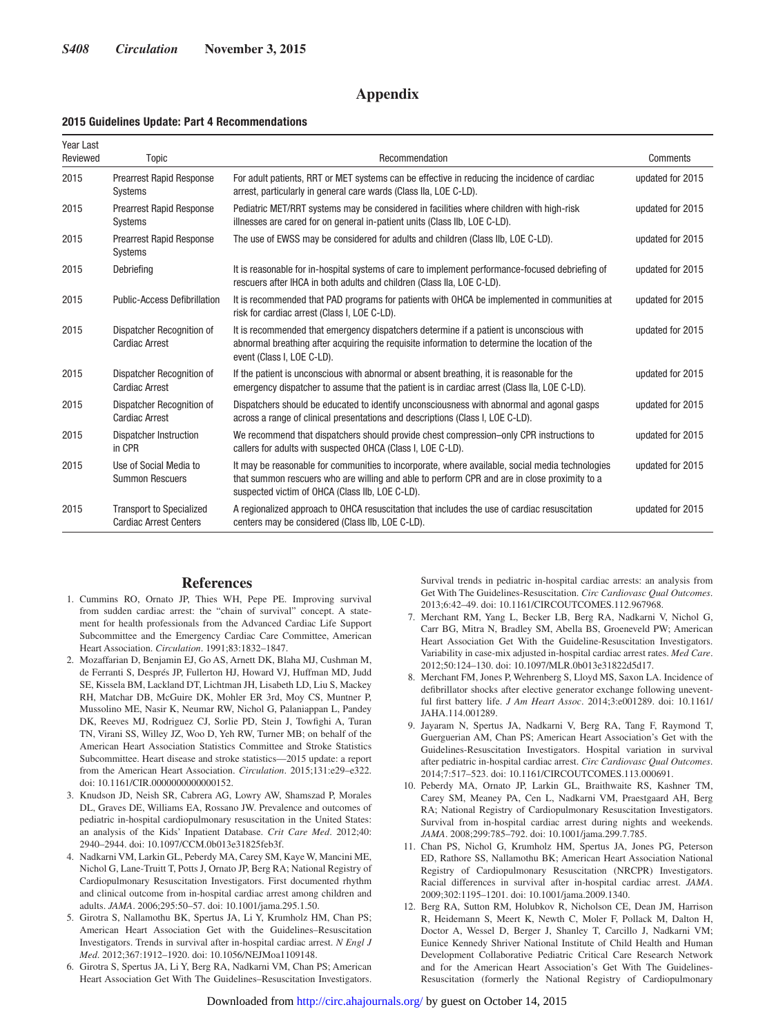## **Appendix**

#### **2015 Guidelines Update: Part 4 Recommendations**

| Year Last |                                                                  |                                                                                                                                                                                                                                                    |                  |
|-----------|------------------------------------------------------------------|----------------------------------------------------------------------------------------------------------------------------------------------------------------------------------------------------------------------------------------------------|------------------|
| Reviewed  | Topic                                                            | Recommendation                                                                                                                                                                                                                                     | Comments         |
| 2015      | <b>Prearrest Rapid Response</b><br>Systems                       | For adult patients, RRT or MET systems can be effective in reducing the incidence of cardiac<br>arrest, particularly in general care wards (Class IIa, LOE C-LD).                                                                                  | updated for 2015 |
| 2015      | <b>Prearrest Rapid Response</b><br>Systems                       | Pediatric MET/RRT systems may be considered in facilities where children with high-risk<br>illnesses are cared for on general in-patient units (Class IIb, LOE C-LD).                                                                              | updated for 2015 |
| 2015      | <b>Prearrest Rapid Response</b><br>Systems                       | The use of EWSS may be considered for adults and children (Class IIb, LOE C-LD).                                                                                                                                                                   | updated for 2015 |
| 2015      | Debriefing                                                       | It is reasonable for in-hospital systems of care to implement performance-focused debriefing of<br>rescuers after IHCA in both adults and children (Class IIa, LOE C-LD).                                                                          | updated for 2015 |
| 2015      | <b>Public-Access Defibrillation</b>                              | It is recommended that PAD programs for patients with OHCA be implemented in communities at<br>risk for cardiac arrest (Class I, LOE C-LD).                                                                                                        | updated for 2015 |
| 2015      | Dispatcher Recognition of<br><b>Cardiac Arrest</b>               | It is recommended that emergency dispatchers determine if a patient is unconscious with<br>abnormal breathing after acquiring the requisite information to determine the location of the<br>event (Class I, LOE C-LD).                             | updated for 2015 |
| 2015      | Dispatcher Recognition of<br><b>Cardiac Arrest</b>               | If the patient is unconscious with abnormal or absent breathing, it is reasonable for the<br>emergency dispatcher to assume that the patient is in cardiac arrest (Class IIa, LOE C-LD).                                                           | updated for 2015 |
| 2015      | Dispatcher Recognition of<br><b>Cardiac Arrest</b>               | Dispatchers should be educated to identify unconsciousness with abnormal and agonal gasps<br>across a range of clinical presentations and descriptions (Class I, LOE C-LD).                                                                        | updated for 2015 |
| 2015      | Dispatcher Instruction<br>in CPR                                 | We recommend that dispatchers should provide chest compression-only CPR instructions to<br>callers for adults with suspected OHCA (Class I, LOE C-LD).                                                                                             | updated for 2015 |
| 2015      | Use of Social Media to<br><b>Summon Rescuers</b>                 | It may be reasonable for communities to incorporate, where available, social media technologies<br>that summon rescuers who are willing and able to perform CPR and are in close proximity to a<br>suspected victim of OHCA (Class IIb, LOE C-LD). | updated for 2015 |
| 2015      | <b>Transport to Specialized</b><br><b>Cardiac Arrest Centers</b> | A regionalized approach to OHCA resuscitation that includes the use of cardiac resuscitation<br>centers may be considered (Class IIb, LOE C-LD).                                                                                                   | updated for 2015 |

## **References**

- 1. Cummins RO, Ornato JP, Thies WH, Pepe PE. Improving survival from sudden cardiac arrest: the "chain of survival" concept. A statement for health professionals from the Advanced Cardiac Life Support Subcommittee and the Emergency Cardiac Care Committee, American Heart Association. *Circulation*. 1991;83:1832–1847.
- 2. Mozaffarian D, Benjamin EJ, Go AS, Arnett DK, Blaha MJ, Cushman M, de Ferranti S, Després JP, Fullerton HJ, Howard VJ, Huffman MD, Judd SE, Kissela BM, Lackland DT, Lichtman JH, Lisabeth LD, Liu S, Mackey RH, Matchar DB, McGuire DK, Mohler ER 3rd, Moy CS, Muntner P, Mussolino ME, Nasir K, Neumar RW, Nichol G, Palaniappan L, Pandey DK, Reeves MJ, Rodriguez CJ, Sorlie PD, Stein J, Towfighi A, Turan TN, Virani SS, Willey JZ, Woo D, Yeh RW, Turner MB; on behalf of the American Heart Association Statistics Committee and Stroke Statistics Subcommittee. Heart disease and stroke statistics—2015 update: a report from the American Heart Association. *Circulation*. 2015;131:e29–e322. doi: 10.1161/CIR.0000000000000152.
- 3. Knudson JD, Neish SR, Cabrera AG, Lowry AW, Shamszad P, Morales DL, Graves DE, Williams EA, Rossano JW. Prevalence and outcomes of pediatric in-hospital cardiopulmonary resuscitation in the United States: an analysis of the Kids' Inpatient Database. *Crit Care Med*. 2012;40: 2940–2944. doi: 10.1097/CCM.0b013e31825feb3f.
- 4. Nadkarni VM, Larkin GL, Peberdy MA, Carey SM, Kaye W, Mancini ME, Nichol G, Lane-Truitt T, Potts J, Ornato JP, Berg RA; National Registry of Cardiopulmonary Resuscitation Investigators. First documented rhythm and clinical outcome from in-hospital cardiac arrest among children and adults. *JAMA*. 2006;295:50–57. doi: 10.1001/jama.295.1.50.
- 5. Girotra S, Nallamothu BK, Spertus JA, Li Y, Krumholz HM, Chan PS; American Heart Association Get with the Guidelines–Resuscitation Investigators. Trends in survival after in-hospital cardiac arrest. *N Engl J Med*. 2012;367:1912–1920. doi: 10.1056/NEJMoa1109148.
- 6. Girotra S, Spertus JA, Li Y, Berg RA, Nadkarni VM, Chan PS; American Heart Association Get With The Guidelines–Resuscitation Investigators.

Survival trends in pediatric in-hospital cardiac arrests: an analysis from Get With The Guidelines-Resuscitation. *Circ Cardiovasc Qual Outcomes*. 2013;6:42–49. doi: 10.1161/CIRCOUTCOMES.112.967968.

- 7. Merchant RM, Yang L, Becker LB, Berg RA, Nadkarni V, Nichol G, Carr BG, Mitra N, Bradley SM, Abella BS, Groeneveld PW; American Heart Association Get With the Guideline-Resuscitation Investigators. Variability in case-mix adjusted in-hospital cardiac arrest rates. *Med Care*. 2012;50:124–130. doi: 10.1097/MLR.0b013e31822d5d17.
- 8. Merchant FM, Jones P, Wehrenberg S, Lloyd MS, Saxon LA. Incidence of defibrillator shocks after elective generator exchange following uneventful first battery life. *J Am Heart Assoc*. 2014;3:e001289. doi: 10.1161/ JAHA.114.001289.
- 9. Jayaram N, Spertus JA, Nadkarni V, Berg RA, Tang F, Raymond T, Guerguerian AM, Chan PS; American Heart Association's Get with the Guidelines-Resuscitation Investigators. Hospital variation in survival after pediatric in-hospital cardiac arrest. *Circ Cardiovasc Qual Outcomes*. 2014;7:517–523. doi: 10.1161/CIRCOUTCOMES.113.000691.
- 10. Peberdy MA, Ornato JP, Larkin GL, Braithwaite RS, Kashner TM, Carey SM, Meaney PA, Cen L, Nadkarni VM, Praestgaard AH, Berg RA; National Registry of Cardiopulmonary Resuscitation Investigators. Survival from in-hospital cardiac arrest during nights and weekends. *JAMA*. 2008;299:785–792. doi: 10.1001/jama.299.7.785.
- 11. Chan PS, Nichol G, Krumholz HM, Spertus JA, Jones PG, Peterson ED, Rathore SS, Nallamothu BK; American Heart Association National Registry of Cardiopulmonary Resuscitation (NRCPR) Investigators. Racial differences in survival after in-hospital cardiac arrest. *JAMA*. 2009;302:1195–1201. doi: 10.1001/jama.2009.1340.
- 12. Berg RA, Sutton RM, Holubkov R, Nicholson CE, Dean JM, Harrison R, Heidemann S, Meert K, Newth C, Moler F, Pollack M, Dalton H, Doctor A, Wessel D, Berger J, Shanley T, Carcillo J, Nadkarni VM; Eunice Kennedy Shriver National Institute of Child Health and Human Development Collaborative Pediatric Critical Care Research Network and for the American Heart Association's Get With The Guidelines-Resuscitation (formerly the National Registry of Cardiopulmonary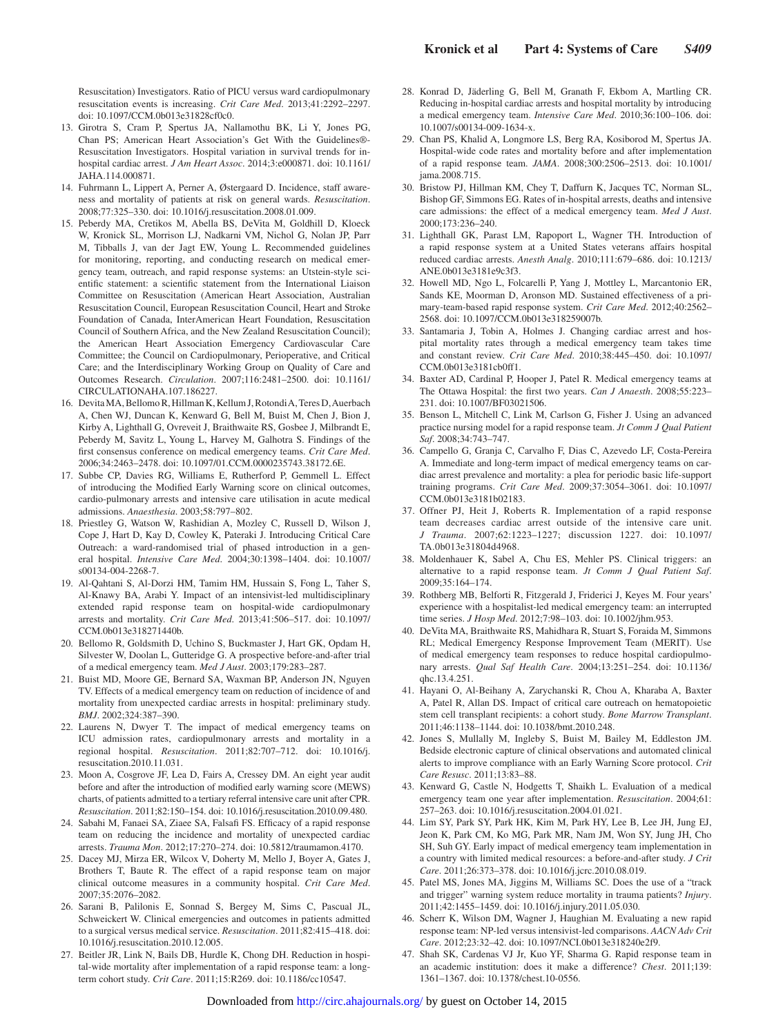Resuscitation) Investigators. Ratio of PICU versus ward cardiopulmonary resuscitation events is increasing. *Crit Care Med*. 2013;41:2292–2297. doi: 10.1097/CCM.0b013e31828cf0c0.

- 13. Girotra S, Cram P, Spertus JA, Nallamothu BK, Li Y, Jones PG, Chan PS; American Heart Association's Get With the Guidelines®- Resuscitation Investigators. Hospital variation in survival trends for inhospital cardiac arrest. *J Am Heart Assoc*. 2014;3:e000871. doi: 10.1161/ JAHA.114.000871.
- 14. Fuhrmann L, Lippert A, Perner A, Østergaard D. Incidence, staff awareness and mortality of patients at risk on general wards. *Resuscitation*. 2008;77:325–330. doi: 10.1016/j.resuscitation.2008.01.009.
- 15. Peberdy MA, Cretikos M, Abella BS, DeVita M, Goldhill D, Kloeck W, Kronick SL, Morrison LJ, Nadkarni VM, Nichol G, Nolan JP, Parr M, Tibballs J, van der Jagt EW, Young L. Recommended guidelines for monitoring, reporting, and conducting research on medical emergency team, outreach, and rapid response systems: an Utstein-style scientific statement: a scientific statement from the International Liaison Committee on Resuscitation (American Heart Association, Australian Resuscitation Council, European Resuscitation Council, Heart and Stroke Foundation of Canada, InterAmerican Heart Foundation, Resuscitation Council of Southern Africa, and the New Zealand Resuscitation Council); the American Heart Association Emergency Cardiovascular Care Committee; the Council on Cardiopulmonary, Perioperative, and Critical Care; and the Interdisciplinary Working Group on Quality of Care and Outcomes Research. *Circulation*. 2007;116:2481–2500. doi: 10.1161/ CIRCULATIONAHA.107.186227.
- 16. Devita MA, Bellomo R, Hillman K, Kellum J, Rotondi A, Teres D, Auerbach A, Chen WJ, Duncan K, Kenward G, Bell M, Buist M, Chen J, Bion J, Kirby A, Lighthall G, Ovreveit J, Braithwaite RS, Gosbee J, Milbrandt E, Peberdy M, Savitz L, Young L, Harvey M, Galhotra S. Findings of the first consensus conference on medical emergency teams. *Crit Care Med*. 2006;34:2463–2478. doi: 10.1097/01.CCM.0000235743.38172.6E.
- 17. Subbe CP, Davies RG, Williams E, Rutherford P, Gemmell L. Effect of introducing the Modified Early Warning score on clinical outcomes, cardio-pulmonary arrests and intensive care utilisation in acute medical admissions. *Anaesthesia*. 2003;58:797–802.
- 18. Priestley G, Watson W, Rashidian A, Mozley C, Russell D, Wilson J, Cope J, Hart D, Kay D, Cowley K, Pateraki J. Introducing Critical Care Outreach: a ward-randomised trial of phased introduction in a general hospital. *Intensive Care Med*. 2004;30:1398–1404. doi: 10.1007/ s00134-004-2268-7.
- 19. Al-Qahtani S, Al-Dorzi HM, Tamim HM, Hussain S, Fong L, Taher S, Al-Knawy BA, Arabi Y. Impact of an intensivist-led multidisciplinary extended rapid response team on hospital-wide cardiopulmonary arrests and mortality. *Crit Care Med*. 2013;41:506–517. doi: 10.1097/ CCM.0b013e318271440b.
- 20. Bellomo R, Goldsmith D, Uchino S, Buckmaster J, Hart GK, Opdam H, Silvester W, Doolan L, Gutteridge G. A prospective before-and-after trial of a medical emergency team. *Med J Aust*. 2003;179:283–287.
- 21. Buist MD, Moore GE, Bernard SA, Waxman BP, Anderson JN, Nguyen TV. Effects of a medical emergency team on reduction of incidence of and mortality from unexpected cardiac arrests in hospital: preliminary study. *BMJ*. 2002;324:387–390.
- 22. Laurens N, Dwyer T. The impact of medical emergency teams on ICU admission rates, cardiopulmonary arrests and mortality in a regional hospital. *Resuscitation*. 2011;82:707–712. doi: 10.1016/j. resuscitation.2010.11.031.
- 23. Moon A, Cosgrove JF, Lea D, Fairs A, Cressey DM. An eight year audit before and after the introduction of modified early warning score (MEWS) charts, of patients admitted to a tertiary referral intensive care unit after CPR. *Resuscitation*. 2011;82:150–154. doi: 10.1016/j.resuscitation.2010.09.480.
- 24. Sabahi M, Fanaei SA, Ziaee SA, Falsafi FS. Efficacy of a rapid response team on reducing the incidence and mortality of unexpected cardiac arrests. *Trauma Mon*. 2012;17:270–274. doi: 10.5812/traumamon.4170.
- 25. Dacey MJ, Mirza ER, Wilcox V, Doherty M, Mello J, Boyer A, Gates J, Brothers T, Baute R. The effect of a rapid response team on major clinical outcome measures in a community hospital. *Crit Care Med*. 2007;35:2076–2082.
- 26. Sarani B, Palilonis E, Sonnad S, Bergey M, Sims C, Pascual JL, Schweickert W. Clinical emergencies and outcomes in patients admitted to a surgical versus medical service. *Resuscitation*. 2011;82:415–418. doi: 10.1016/j.resuscitation.2010.12.005.
- 27. Beitler JR, Link N, Bails DB, Hurdle K, Chong DH. Reduction in hospital-wide mortality after implementation of a rapid response team: a longterm cohort study. *Crit Care*. 2011;15:R269. doi: 10.1186/cc10547.
- 28. Konrad D, Jäderling G, Bell M, Granath F, Ekbom A, Martling CR. Reducing in-hospital cardiac arrests and hospital mortality by introducing a medical emergency team. *Intensive Care Med*. 2010;36:100–106. doi: 10.1007/s00134-009-1634-x.
- 29. Chan PS, Khalid A, Longmore LS, Berg RA, Kosiborod M, Spertus JA. Hospital-wide code rates and mortality before and after implementation of a rapid response team. *JAMA*. 2008;300:2506–2513. doi: 10.1001/ jama.2008.715.
- 30. Bristow PJ, Hillman KM, Chey T, Daffurn K, Jacques TC, Norman SL, Bishop GF, Simmons EG. Rates of in-hospital arrests, deaths and intensive care admissions: the effect of a medical emergency team. *Med J Aust*. 2000;173:236–240.
- 31. Lighthall GK, Parast LM, Rapoport L, Wagner TH. Introduction of a rapid response system at a United States veterans affairs hospital reduced cardiac arrests. *Anesth Analg*. 2010;111:679–686. doi: 10.1213/ ANE.0b013e3181e9c3f3.
- 32. Howell MD, Ngo L, Folcarelli P, Yang J, Mottley L, Marcantonio ER, Sands KE, Moorman D, Aronson MD. Sustained effectiveness of a primary-team-based rapid response system. *Crit Care Med*. 2012;40:2562– 2568. doi: 10.1097/CCM.0b013e318259007b.
- 33. Santamaria J, Tobin A, Holmes J. Changing cardiac arrest and hospital mortality rates through a medical emergency team takes time and constant review. *Crit Care Med*. 2010;38:445–450. doi: 10.1097/ CCM.0b013e3181cb0ff1.
- 34. Baxter AD, Cardinal P, Hooper J, Patel R. Medical emergency teams at The Ottawa Hospital: the first two years. *Can J Anaesth*. 2008;55:223– 231. doi: 10.1007/BF03021506.
- 35. Benson L, Mitchell C, Link M, Carlson G, Fisher J. Using an advanced practice nursing model for a rapid response team. *Jt Comm J Qual Patient Saf*. 2008;34:743–747.
- 36. Campello G, Granja C, Carvalho F, Dias C, Azevedo LF, Costa-Pereira A. Immediate and long-term impact of medical emergency teams on cardiac arrest prevalence and mortality: a plea for periodic basic life-support training programs. *Crit Care Med*. 2009;37:3054–3061. doi: 10.1097/ CCM.0b013e3181b02183.
- 37. Offner PJ, Heit J, Roberts R. Implementation of a rapid response team decreases cardiac arrest outside of the intensive care unit. *J Trauma*. 2007;62:1223–1227; discussion 1227. doi: 10.1097/ TA.0b013e31804d4968.
- 38. Moldenhauer K, Sabel A, Chu ES, Mehler PS. Clinical triggers: an alternative to a rapid response team. *Jt Comm J Qual Patient Saf*. 2009;35:164–174.
- 39. Rothberg MB, Belforti R, Fitzgerald J, Friderici J, Keyes M. Four years' experience with a hospitalist-led medical emergency team: an interrupted time series. *J Hosp Med*. 2012;7:98–103. doi: 10.1002/jhm.953.
- 40. DeVita MA, Braithwaite RS, Mahidhara R, Stuart S, Foraida M, Simmons RL; Medical Emergency Response Improvement Team (MERIT). Use of medical emergency team responses to reduce hospital cardiopulmonary arrests. *Qual Saf Health Care*. 2004;13:251–254. doi: 10.1136/ qhc.13.4.251.
- 41. Hayani O, Al-Beihany A, Zarychanski R, Chou A, Kharaba A, Baxter A, Patel R, Allan DS. Impact of critical care outreach on hematopoietic stem cell transplant recipients: a cohort study. *Bone Marrow Transplant*. 2011;46:1138–1144. doi: 10.1038/bmt.2010.248.
- 42. Jones S, Mullally M, Ingleby S, Buist M, Bailey M, Eddleston JM. Bedside electronic capture of clinical observations and automated clinical alerts to improve compliance with an Early Warning Score protocol. *Crit Care Resusc*. 2011;13:83–88.
- 43. Kenward G, Castle N, Hodgetts T, Shaikh L. Evaluation of a medical emergency team one year after implementation. *Resuscitation*. 2004;61: 257–263. doi: 10.1016/j.resuscitation.2004.01.021.
- 44. Lim SY, Park SY, Park HK, Kim M, Park HY, Lee B, Lee JH, Jung EJ, Jeon K, Park CM, Ko MG, Park MR, Nam JM, Won SY, Jung JH, Cho SH, Suh GY. Early impact of medical emergency team implementation in a country with limited medical resources: a before-and-after study. *J Crit Care*. 2011;26:373–378. doi: 10.1016/j.jcrc.2010.08.019.
- 45. Patel MS, Jones MA, Jiggins M, Williams SC. Does the use of a "track and trigger" warning system reduce mortality in trauma patients? *Injury*. 2011;42:1455–1459. doi: 10.1016/j.injury.2011.05.030.
- 46. Scherr K, Wilson DM, Wagner J, Haughian M. Evaluating a new rapid response team: NP-led versus intensivist-led comparisons. *AACN Adv Crit Care*. 2012;23:32–42. doi: 10.1097/NCI.0b013e318240e2f9.
- 47. Shah SK, Cardenas VJ Jr, Kuo YF, Sharma G. Rapid response team in an academic institution: does it make a difference? *Chest*. 2011;139: 1361–1367. doi: 10.1378/chest.10-0556.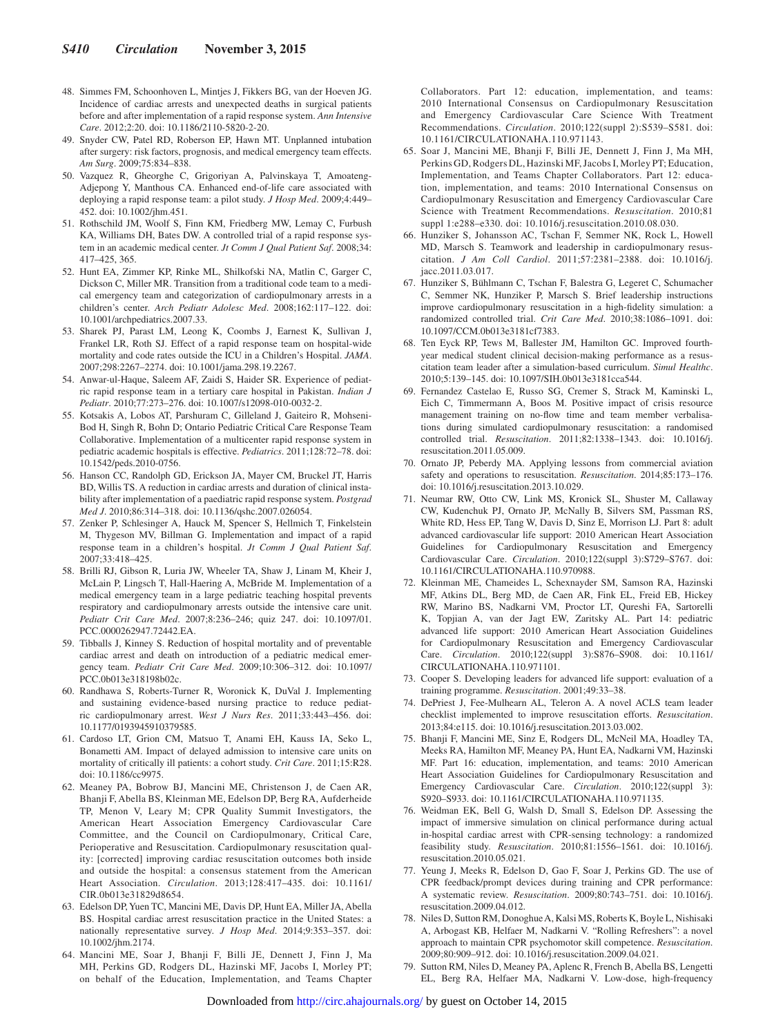- 48. Simmes FM, Schoonhoven L, Mintjes J, Fikkers BG, van der Hoeven JG. Incidence of cardiac arrests and unexpected deaths in surgical patients before and after implementation of a rapid response system. *Ann Intensive Care*. 2012;2:20. doi: 10.1186/2110-5820-2-20.
- 49. Snyder CW, Patel RD, Roberson EP, Hawn MT. Unplanned intubation after surgery: risk factors, prognosis, and medical emergency team effects. *Am Surg*. 2009;75:834–838.
- 50. Vazquez R, Gheorghe C, Grigoriyan A, Palvinskaya T, Amoateng-Adjepong Y, Manthous CA. Enhanced end-of-life care associated with deploying a rapid response team: a pilot study. *J Hosp Med*. 2009;4:449– 452. doi: 10.1002/jhm.451.
- 51. Rothschild JM, Woolf S, Finn KM, Friedberg MW, Lemay C, Furbush KA, Williams DH, Bates DW. A controlled trial of a rapid response system in an academic medical center. *Jt Comm J Qual Patient Saf*. 2008;34: 417–425, 365.
- 52. Hunt EA, Zimmer KP, Rinke ML, Shilkofski NA, Matlin C, Garger C, Dickson C, Miller MR. Transition from a traditional code team to a medical emergency team and categorization of cardiopulmonary arrests in a children's center. *Arch Pediatr Adolesc Med*. 2008;162:117–122. doi: 10.1001/archpediatrics.2007.33.
- 53. Sharek PJ, Parast LM, Leong K, Coombs J, Earnest K, Sullivan J, Frankel LR, Roth SJ. Effect of a rapid response team on hospital-wide mortality and code rates outside the ICU in a Children's Hospital. *JAMA*. 2007;298:2267–2274. doi: 10.1001/jama.298.19.2267.
- 54. Anwar-ul-Haque, Saleem AF, Zaidi S, Haider SR. Experience of pediatric rapid response team in a tertiary care hospital in Pakistan. *Indian J Pediatr*. 2010;77:273–276. doi: 10.1007/s12098-010-0032-2.
- 55. Kotsakis A, Lobos AT, Parshuram C, Gilleland J, Gaiteiro R, Mohseni-Bod H, Singh R, Bohn D; Ontario Pediatric Critical Care Response Team Collaborative. Implementation of a multicenter rapid response system in pediatric academic hospitals is effective. *Pediatrics*. 2011;128:72–78. doi: 10.1542/peds.2010-0756.
- 56. Hanson CC, Randolph GD, Erickson JA, Mayer CM, Bruckel JT, Harris BD, Willis TS. A reduction in cardiac arrests and duration of clinical instability after implementation of a paediatric rapid response system. *Postgrad Med J*. 2010;86:314–318. doi: 10.1136/qshc.2007.026054.
- 57. Zenker P, Schlesinger A, Hauck M, Spencer S, Hellmich T, Finkelstein M, Thygeson MV, Billman G. Implementation and impact of a rapid response team in a children's hospital. *Jt Comm J Qual Patient Saf*. 2007;33:418–425.
- 58. Brilli RJ, Gibson R, Luria JW, Wheeler TA, Shaw J, Linam M, Kheir J, McLain P, Lingsch T, Hall-Haering A, McBride M. Implementation of a medical emergency team in a large pediatric teaching hospital prevents respiratory and cardiopulmonary arrests outside the intensive care unit. *Pediatr Crit Care Med*. 2007;8:236–246; quiz 247. doi: 10.1097/01. PCC.0000262947.72442.EA.
- 59. Tibballs J, Kinney S. Reduction of hospital mortality and of preventable cardiac arrest and death on introduction of a pediatric medical emergency team. *Pediatr Crit Care Med*. 2009;10:306–312. doi: 10.1097/ PCC.0b013e318198b02c.
- 60. Randhawa S, Roberts-Turner R, Woronick K, DuVal J. Implementing and sustaining evidence-based nursing practice to reduce pediatric cardiopulmonary arrest. *West J Nurs Res*. 2011;33:443–456. doi: 10.1177/0193945910379585.
- 61. Cardoso LT, Grion CM, Matsuo T, Anami EH, Kauss IA, Seko L, Bonametti AM. Impact of delayed admission to intensive care units on mortality of critically ill patients: a cohort study. *Crit Care*. 2011;15:R28. doi: 10.1186/cc9975.
- 62. Meaney PA, Bobrow BJ, Mancini ME, Christenson J, de Caen AR, Bhanji F, Abella BS, Kleinman ME, Edelson DP, Berg RA, Aufderheide TP, Menon V, Leary M; CPR Quality Summit Investigators, the American Heart Association Emergency Cardiovascular Care Committee, and the Council on Cardiopulmonary, Critical Care, Perioperative and Resuscitation. Cardiopulmonary resuscitation quality: [corrected] improving cardiac resuscitation outcomes both inside and outside the hospital: a consensus statement from the American Heart Association. *Circulation*. 2013;128:417–435. doi: 10.1161/ CIR.0b013e31829d8654.
- 63. Edelson DP, Yuen TC, Mancini ME, Davis DP, Hunt EA, Miller JA, Abella BS. Hospital cardiac arrest resuscitation practice in the United States: a nationally representative survey. *J Hosp Med*. 2014;9:353–357. doi: 10.1002/jhm.2174.
- 64. Mancini ME, Soar J, Bhanji F, Billi JE, Dennett J, Finn J, Ma MH, Perkins GD, Rodgers DL, Hazinski MF, Jacobs I, Morley PT; on behalf of the Education, Implementation, and Teams Chapter

Collaborators. Part 12: education, implementation, and teams: 2010 International Consensus on Cardiopulmonary Resuscitation and Emergency Cardiovascular Care Science With Treatment Recommendations. *Circulation*. 2010;122(suppl 2):S539–S581. doi: 10.1161/CIRCULATIONAHA.110.971143.

- 65. Soar J, Mancini ME, Bhanji F, Billi JE, Dennett J, Finn J, Ma MH, Perkins GD, Rodgers DL, Hazinski MF, Jacobs I, Morley PT; Education, Implementation, and Teams Chapter Collaborators. Part 12: education, implementation, and teams: 2010 International Consensus on Cardiopulmonary Resuscitation and Emergency Cardiovascular Care Science with Treatment Recommendations. *Resuscitation*. 2010;81 suppl 1:e288–e330. doi: 10.1016/j.resuscitation.2010.08.030.
- 66. Hunziker S, Johansson AC, Tschan F, Semmer NK, Rock L, Howell MD, Marsch S. Teamwork and leadership in cardiopulmonary resuscitation. *J Am Coll Cardiol*. 2011;57:2381–2388. doi: 10.1016/j. jacc.2011.03.017.
- 67. Hunziker S, Bühlmann C, Tschan F, Balestra G, Legeret C, Schumacher C, Semmer NK, Hunziker P, Marsch S. Brief leadership instructions improve cardiopulmonary resuscitation in a high-fidelity simulation: a randomized controlled trial. *Crit Care Med*. 2010;38:1086–1091. doi: 10.1097/CCM.0b013e3181cf7383.
- 68. Ten Eyck RP, Tews M, Ballester JM, Hamilton GC. Improved fourthyear medical student clinical decision-making performance as a resuscitation team leader after a simulation-based curriculum. *Simul Healthc*. 2010;5:139–145. doi: 10.1097/SIH.0b013e3181cca544.
- 69. Fernandez Castelao E, Russo SG, Cremer S, Strack M, Kaminski L, Eich C, Timmermann A, Boos M. Positive impact of crisis resource management training on no-flow time and team member verbalisations during simulated cardiopulmonary resuscitation: a randomised controlled trial. *Resuscitation*. 2011;82:1338–1343. doi: 10.1016/j. resuscitation.2011.05.009.
- 70. Ornato JP, Peberdy MA. Applying lessons from commercial aviation safety and operations to resuscitation. *Resuscitation*. 2014;85:173–176. doi: 10.1016/j.resuscitation.2013.10.029.
- 71. Neumar RW, Otto CW, Link MS, Kronick SL, Shuster M, Callaway CW, Kudenchuk PJ, Ornato JP, McNally B, Silvers SM, Passman RS, White RD, Hess EP, Tang W, Davis D, Sinz E, Morrison LJ. Part 8: adult advanced cardiovascular life support: 2010 American Heart Association Guidelines for Cardiopulmonary Resuscitation and Emergency Cardiovascular Care. *Circulation*. 2010;122(suppl 3):S729–S767. doi: 10.1161/CIRCULATIONAHA.110.970988.
- 72. Kleinman ME, Chameides L, Schexnayder SM, Samson RA, Hazinski MF, Atkins DL, Berg MD, de Caen AR, Fink EL, Freid EB, Hickey RW, Marino BS, Nadkarni VM, Proctor LT, Qureshi FA, Sartorelli K, Topjian A, van der Jagt EW, Zaritsky AL. Part 14: pediatric advanced life support: 2010 American Heart Association Guidelines for Cardiopulmonary Resuscitation and Emergency Cardiovascular Care. *Circulation*. 2010;122(suppl 3):S876–S908. doi: 10.1161/ CIRCULATIONAHA.110.971101.
- 73. Cooper S. Developing leaders for advanced life support: evaluation of a training programme. *Resuscitation*. 2001;49:33–38.
- 74. DePriest J, Fee-Mulhearn AL, Teleron A. A novel ACLS team leader checklist implemented to improve resuscitation efforts. *Resuscitation*. 2013;84:e115. doi: 10.1016/j.resuscitation.2013.03.002.
- 75. Bhanji F, Mancini ME, Sinz E, Rodgers DL, McNeil MA, Hoadley TA, Meeks RA, Hamilton MF, Meaney PA, Hunt EA, Nadkarni VM, Hazinski MF. Part 16: education, implementation, and teams: 2010 American Heart Association Guidelines for Cardiopulmonary Resuscitation and Emergency Cardiovascular Care. *Circulation*. 2010;122(suppl 3): S920–S933. doi: 10.1161/CIRCULATIONAHA.110.971135.
- 76. Weidman EK, Bell G, Walsh D, Small S, Edelson DP. Assessing the impact of immersive simulation on clinical performance during actual in-hospital cardiac arrest with CPR-sensing technology: a randomized feasibility study. *Resuscitation*. 2010;81:1556–1561. doi: 10.1016/j. resuscitation.2010.05.021.
- 77. Yeung J, Meeks R, Edelson D, Gao F, Soar J, Perkins GD. The use of CPR feedback/prompt devices during training and CPR performance: A systematic review. *Resuscitation*. 2009;80:743–751. doi: 10.1016/j. resuscitation.2009.04.012.
- 78. Niles D, Sutton RM, Donoghue A, Kalsi MS, Roberts K, Boyle L, Nishisaki A, Arbogast KB, Helfaer M, Nadkarni V. "Rolling Refreshers": a novel approach to maintain CPR psychomotor skill competence. *Resuscitation*. 2009;80:909–912. doi: 10.1016/j.resuscitation.2009.04.021.
- 79. Sutton RM, Niles D, Meaney PA, Aplenc R, French B, Abella BS, Lengetti EL, Berg RA, Helfaer MA, Nadkarni V. Low-dose, high-frequency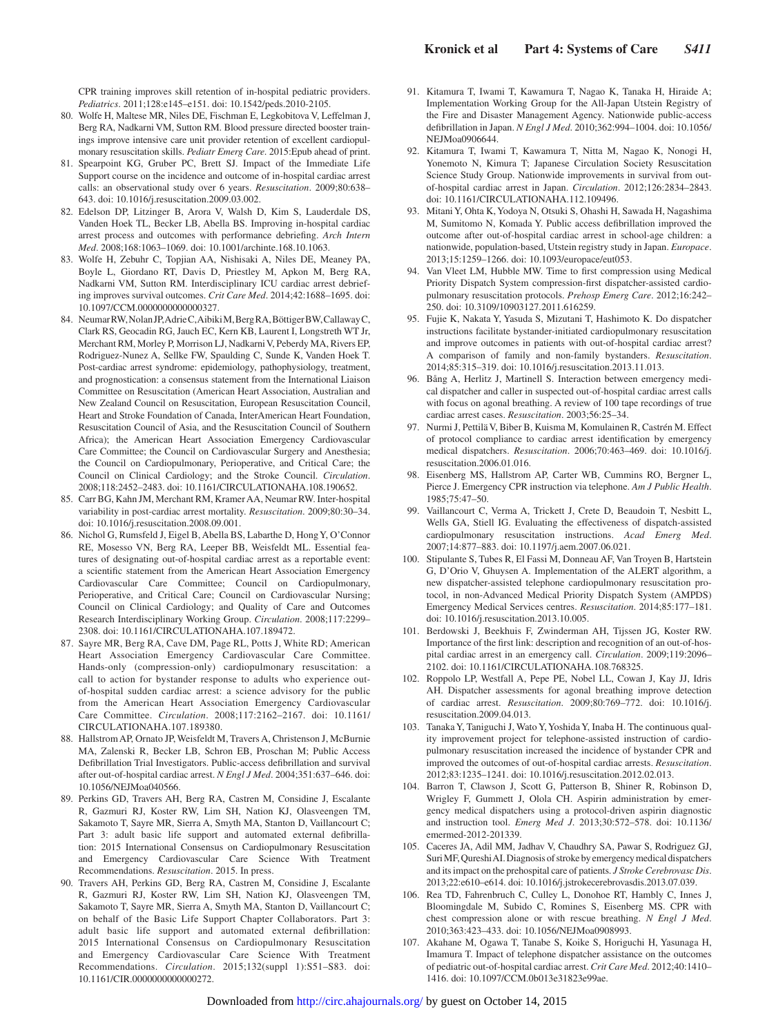CPR training improves skill retention of in-hospital pediatric providers. *Pediatrics*. 2011;128:e145–e151. doi: 10.1542/peds.2010-2105.

- 80. Wolfe H, Maltese MR, Niles DE, Fischman E, Legkobitova V, Leffelman J, Berg RA, Nadkarni VM, Sutton RM. Blood pressure directed booster trainings improve intensive care unit provider retention of excellent cardiopulmonary resuscitation skills. *Pediatr Emerg Care*. 2015:Epub ahead of print.
- 81. Spearpoint KG, Gruber PC, Brett SJ. Impact of the Immediate Life Support course on the incidence and outcome of in-hospital cardiac arrest calls: an observational study over 6 years. *Resuscitation*. 2009;80:638– 643. doi: 10.1016/j.resuscitation.2009.03.002.
- 82. Edelson DP, Litzinger B, Arora V, Walsh D, Kim S, Lauderdale DS, Vanden Hoek TL, Becker LB, Abella BS. Improving in-hospital cardiac arrest process and outcomes with performance debriefing. *Arch Intern Med*. 2008;168:1063–1069. doi: 10.1001/archinte.168.10.1063.
- 83. Wolfe H, Zebuhr C, Topjian AA, Nishisaki A, Niles DE, Meaney PA, Boyle L, Giordano RT, Davis D, Priestley M, Apkon M, Berg RA, Nadkarni VM, Sutton RM. Interdisciplinary ICU cardiac arrest debriefing improves survival outcomes. *Crit Care Med*. 2014;42:1688–1695. doi: 10.1097/CCM.0000000000000327.
- 84. Neumar RW, Nolan JP, Adrie C, Aibiki M, Berg RA, Böttiger BW, Callaway C, Clark RS, Geocadin RG, Jauch EC, Kern KB, Laurent I, Longstreth WT Jr, Merchant RM, Morley P, Morrison LJ, Nadkarni V, Peberdy MA, Rivers EP, Rodriguez-Nunez A, Sellke FW, Spaulding C, Sunde K, Vanden Hoek T. Post-cardiac arrest syndrome: epidemiology, pathophysiology, treatment, and prognostication: a consensus statement from the International Liaison Committee on Resuscitation (American Heart Association, Australian and New Zealand Council on Resuscitation, European Resuscitation Council, Heart and Stroke Foundation of Canada, InterAmerican Heart Foundation, Resuscitation Council of Asia, and the Resuscitation Council of Southern Africa); the American Heart Association Emergency Cardiovascular Care Committee; the Council on Cardiovascular Surgery and Anesthesia; the Council on Cardiopulmonary, Perioperative, and Critical Care; the Council on Clinical Cardiology; and the Stroke Council. *Circulation*. 2008;118:2452–2483. doi: 10.1161/CIRCULATIONAHA.108.190652.
- 85. Carr BG, Kahn JM, Merchant RM, Kramer AA, Neumar RW. Inter-hospital variability in post-cardiac arrest mortality. *Resuscitation*. 2009;80:30–34. doi: 10.1016/j.resuscitation.2008.09.001.
- 86. Nichol G, Rumsfeld J, Eigel B, Abella BS, Labarthe D, Hong Y, O'Connor RE, Mosesso VN, Berg RA, Leeper BB, Weisfeldt ML. Essential features of designating out-of-hospital cardiac arrest as a reportable event: a scientific statement from the American Heart Association Emergency Cardiovascular Care Committee; Council on Cardiopulmonary, Perioperative, and Critical Care; Council on Cardiovascular Nursing; Council on Clinical Cardiology; and Quality of Care and Outcomes Research Interdisciplinary Working Group. *Circulation*. 2008;117:2299– 2308. doi: 10.1161/CIRCULATIONAHA.107.189472.
- 87. Sayre MR, Berg RA, Cave DM, Page RL, Potts J, White RD; American Heart Association Emergency Cardiovascular Care Committee. Hands-only (compression-only) cardiopulmonary resuscitation: a call to action for bystander response to adults who experience outof-hospital sudden cardiac arrest: a science advisory for the public from the American Heart Association Emergency Cardiovascular Care Committee. *Circulation*. 2008;117:2162–2167. doi: 10.1161/ CIRCULATIONAHA.107.189380.
- 88. Hallstrom AP, Ornato JP, Weisfeldt M, Travers A, Christenson J, McBurnie MA, Zalenski R, Becker LB, Schron EB, Proschan M; Public Access Defibrillation Trial Investigators. Public-access defibrillation and survival after out-of-hospital cardiac arrest. *N Engl J Med*. 2004;351:637–646. doi: 10.1056/NEJMoa040566.
- 89. Perkins GD, Travers AH, Berg RA, Castren M, Considine J, Escalante R, Gazmuri RJ, Koster RW, Lim SH, Nation KJ, Olasveengen TM, Sakamoto T, Sayre MR, Sierra A, Smyth MA, Stanton D, Vaillancourt C; Part 3: adult basic life support and automated external defibrillation: 2015 International Consensus on Cardiopulmonary Resuscitation and Emergency Cardiovascular Care Science With Treatment Recommendations. *Resuscitation*. 2015. In press.
- 90. Travers AH, Perkins GD, Berg RA, Castren M, Considine J, Escalante R, Gazmuri RJ, Koster RW, Lim SH, Nation KJ, Olasveengen TM, Sakamoto T, Sayre MR, Sierra A, Smyth MA, Stanton D, Vaillancourt C; on behalf of the Basic Life Support Chapter Collaborators. Part 3: adult basic life support and automated external defibrillation: 2015 International Consensus on Cardiopulmonary Resuscitation and Emergency Cardiovascular Care Science With Treatment Recommendations. *Circulation*. 2015;132(suppl 1):S51–S83. doi: 10.1161/CIR.0000000000000272.
- 91. Kitamura T, Iwami T, Kawamura T, Nagao K, Tanaka H, Hiraide A; Implementation Working Group for the All-Japan Utstein Registry of the Fire and Disaster Management Agency. Nationwide public-access defibrillation in Japan. *N Engl J Med*. 2010;362:994–1004. doi: 10.1056/ NEJMoa0906644.
- 92. Kitamura T, Iwami T, Kawamura T, Nitta M, Nagao K, Nonogi H, Yonemoto N, Kimura T; Japanese Circulation Society Resuscitation Science Study Group. Nationwide improvements in survival from outof-hospital cardiac arrest in Japan. *Circulation*. 2012;126:2834–2843. doi: 10.1161/CIRCULATIONAHA.112.109496.
- 93. Mitani Y, Ohta K, Yodoya N, Otsuki S, Ohashi H, Sawada H, Nagashima M, Sumitomo N, Komada Y. Public access defibrillation improved the outcome after out-of-hospital cardiac arrest in school-age children: a nationwide, population-based, Utstein registry study in Japan. *Europace*. 2013;15:1259–1266. doi: 10.1093/europace/eut053.
- 94. Van Vleet LM, Hubble MW. Time to first compression using Medical Priority Dispatch System compression-first dispatcher-assisted cardiopulmonary resuscitation protocols. *Prehosp Emerg Care*. 2012;16:242– 250. doi: 10.3109/10903127.2011.616259.
- 95. Fujie K, Nakata Y, Yasuda S, Mizutani T, Hashimoto K. Do dispatcher instructions facilitate bystander-initiated cardiopulmonary resuscitation and improve outcomes in patients with out-of-hospital cardiac arrest? A comparison of family and non-family bystanders. *Resuscitation*. 2014;85:315–319. doi: 10.1016/j.resuscitation.2013.11.013.
- 96. Bång A, Herlitz J, Martinell S. Interaction between emergency medical dispatcher and caller in suspected out-of-hospital cardiac arrest calls with focus on agonal breathing. A review of 100 tape recordings of true cardiac arrest cases. *Resuscitation*. 2003;56:25–34.
- 97. Nurmi J, Pettilä V, Biber B, Kuisma M, Komulainen R, Castrén M. Effect of protocol compliance to cardiac arrest identification by emergency medical dispatchers. *Resuscitation*. 2006;70:463–469. doi: 10.1016/j. resuscitation.2006.01.016.
- 98. Eisenberg MS, Hallstrom AP, Carter WB, Cummins RO, Bergner L, Pierce J. Emergency CPR instruction via telephone. *Am J Public Health*. 1985;75:47–50.
- Vaillancourt C, Verma A, Trickett J, Crete D, Beaudoin T, Nesbitt L, Wells GA, Stiell IG. Evaluating the effectiveness of dispatch-assisted cardiopulmonary resuscitation instructions. *Acad Emerg Med*. 2007;14:877–883. doi: 10.1197/j.aem.2007.06.021.
- 100. Stipulante S, Tubes R, El Fassi M, Donneau AF, Van Troyen B, Hartstein G, D'Orio V, Ghuysen A. Implementation of the ALERT algorithm, a new dispatcher-assisted telephone cardiopulmonary resuscitation protocol, in non-Advanced Medical Priority Dispatch System (AMPDS) Emergency Medical Services centres. *Resuscitation*. 2014;85:177–181. doi: 10.1016/j.resuscitation.2013.10.005.
- 101. Berdowski J, Beekhuis F, Zwinderman AH, Tijssen JG, Koster RW. Importance of the first link: description and recognition of an out-of-hospital cardiac arrest in an emergency call. *Circulation*. 2009;119:2096– 2102. doi: 10.1161/CIRCULATIONAHA.108.768325.
- 102. Roppolo LP, Westfall A, Pepe PE, Nobel LL, Cowan J, Kay JJ, Idris AH. Dispatcher assessments for agonal breathing improve detection of cardiac arrest. *Resuscitation*. 2009;80:769–772. doi: 10.1016/j. resuscitation.2009.04.013.
- 103. Tanaka Y, Taniguchi J, Wato Y, Yoshida Y, Inaba H. The continuous quality improvement project for telephone-assisted instruction of cardiopulmonary resuscitation increased the incidence of bystander CPR and improved the outcomes of out-of-hospital cardiac arrests. *Resuscitation*. 2012;83:1235–1241. doi: 10.1016/j.resuscitation.2012.02.013.
- 104. Barron T, Clawson J, Scott G, Patterson B, Shiner R, Robinson D, Wrigley F, Gummett J, Olola CH. Aspirin administration by emergency medical dispatchers using a protocol-driven aspirin diagnostic and instruction tool. *Emerg Med J*. 2013;30:572–578. doi: 10.1136/ emermed-2012-201339.
- 105. Caceres JA, Adil MM, Jadhav V, Chaudhry SA, Pawar S, Rodriguez GJ, Suri MF, Qureshi AI. Diagnosis of stroke by emergency medical dispatchers and its impact on the prehospital care of patients. *J Stroke Cerebrovasc Dis*. 2013;22:e610–e614. doi: 10.1016/j.jstrokecerebrovasdis.2013.07.039.
- 106. Rea TD, Fahrenbruch C, Culley L, Donohoe RT, Hambly C, Innes J, Bloomingdale M, Subido C, Romines S, Eisenberg MS. CPR with chest compression alone or with rescue breathing. *N Engl J Med*. 2010;363:423–433. doi: 10.1056/NEJMoa0908993.
- 107. Akahane M, Ogawa T, Tanabe S, Koike S, Horiguchi H, Yasunaga H, Imamura T. Impact of telephone dispatcher assistance on the outcomes of pediatric out-of-hospital cardiac arrest. *Crit Care Med*. 2012;40:1410– 1416. doi: 10.1097/CCM.0b013e31823e99ae.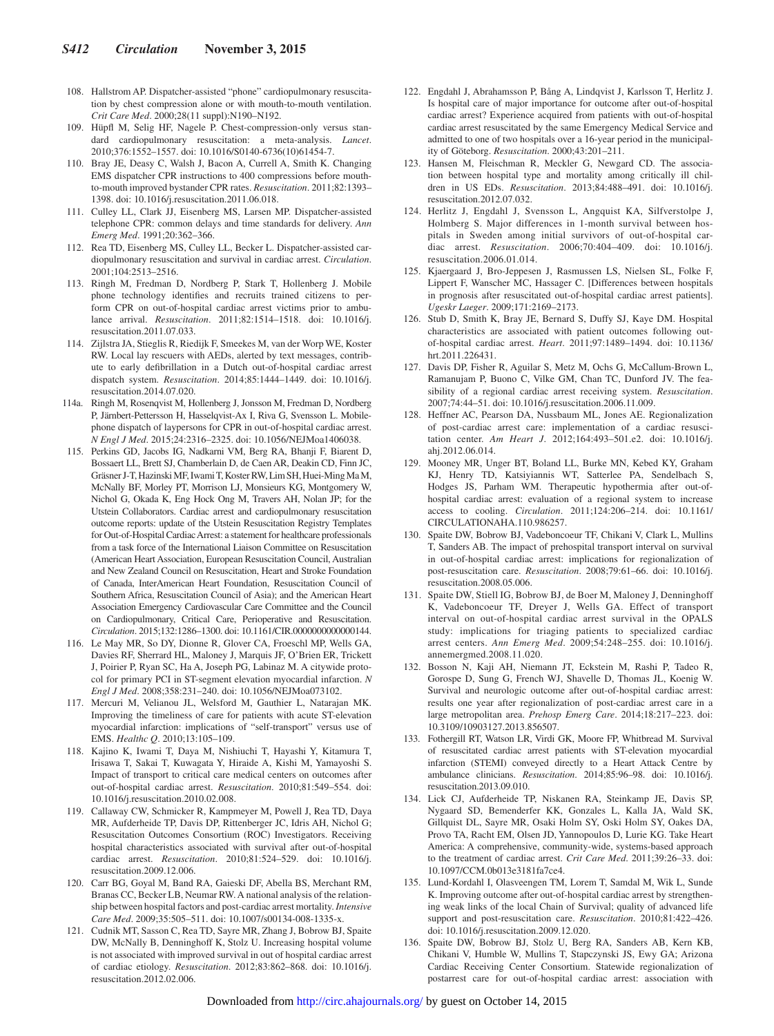- 108. Hallstrom AP. Dispatcher-assisted "phone" cardiopulmonary resuscitation by chest compression alone or with mouth-to-mouth ventilation. *Crit Care Med*. 2000;28(11 suppl):N190–N192.
- 109. Hüpfl M, Selig HF, Nagele P. Chest-compression-only versus standard cardiopulmonary resuscitation: a meta-analysis. *Lancet*. 2010;376:1552–1557. doi: 10.1016/S0140-6736(10)61454-7.
- 110. Bray JE, Deasy C, Walsh J, Bacon A, Currell A, Smith K. Changing EMS dispatcher CPR instructions to 400 compressions before mouthto-mouth improved bystander CPR rates. *Resuscitation*. 2011;82:1393– 1398. doi: 10.1016/j.resuscitation.2011.06.018.
- 111. Culley LL, Clark JJ, Eisenberg MS, Larsen MP. Dispatcher-assisted telephone CPR: common delays and time standards for delivery. *Ann Emerg Med*. 1991;20:362–366.
- 112. Rea TD, Eisenberg MS, Culley LL, Becker L. Dispatcher-assisted cardiopulmonary resuscitation and survival in cardiac arrest. *Circulation*. 2001;104:2513–2516.
- 113. Ringh M, Fredman D, Nordberg P, Stark T, Hollenberg J. Mobile phone technology identifies and recruits trained citizens to perform CPR on out-of-hospital cardiac arrest victims prior to ambulance arrival. *Resuscitation*. 2011;82:1514–1518. doi: 10.1016/j. resuscitation.2011.07.033.
- 114. Zijlstra JA, Stieglis R, Riedijk F, Smeekes M, van der Worp WE, Koster RW. Local lay rescuers with AEDs, alerted by text messages, contribute to early defibrillation in a Dutch out-of-hospital cardiac arrest dispatch system. *Resuscitation*. 2014;85:1444–1449. doi: 10.1016/j. resuscitation.2014.07.020.
- 114a. Ringh M, Rosenqvist M, Hollenberg J, Jonsson M, Fredman D, Nordberg P, Järnbert-Pettersson H, Hasselqvist-Ax I, Riva G, Svensson L. Mobilephone dispatch of laypersons for CPR in out-of-hospital cardiac arrest. *N Engl J Med*. 2015;24:2316–2325. doi: 10.1056/NEJMoa1406038.
- 115. Perkins GD, Jacobs IG, Nadkarni VM, Berg RA, Bhanji F, Biarent D, Bossaert LL, Brett SJ, Chamberlain D, de Caen AR, Deakin CD, Finn JC, Gräsner J-T, Hazinski MF, Iwami T, Koster RW, Lim SH, Huei-Ming Ma M, McNally BF, Morley PT, Morrison LJ, Monsieurs KG, Montgomery W, Nichol G, Okada K, Eng Hock Ong M, Travers AH, Nolan JP; for the Utstein Collaborators. Cardiac arrest and cardiopulmonary resuscitation outcome reports: update of the Utstein Resuscitation Registry Templates for Out-of-Hospital Cardiac Arrest: a statement for healthcare professionals from a task force of the International Liaison Committee on Resuscitation (American Heart Association, European Resuscitation Council, Australian and New Zealand Council on Resuscitation, Heart and Stroke Foundation of Canada, InterAmerican Heart Foundation, Resuscitation Council of Southern Africa, Resuscitation Council of Asia); and the American Heart Association Emergency Cardiovascular Care Committee and the Council on Cardiopulmonary, Critical Care, Perioperative and Resuscitation. *Circulation*. 2015;132:1286–1300. doi: 10.1161/CIR.0000000000000144.
- 116. Le May MR, So DY, Dionne R, Glover CA, Froeschl MP, Wells GA, Davies RF, Sherrard HL, Maloney J, Marquis JF, O'Brien ER, Trickett J, Poirier P, Ryan SC, Ha A, Joseph PG, Labinaz M. A citywide protocol for primary PCI in ST-segment elevation myocardial infarction. *N Engl J Med*. 2008;358:231–240. doi: 10.1056/NEJMoa073102.
- 117. Mercuri M, Velianou JL, Welsford M, Gauthier L, Natarajan MK. Improving the timeliness of care for patients with acute ST-elevation myocardial infarction: implications of "self-transport" versus use of EMS. *Healthc Q*. 2010;13:105–109.
- 118. Kajino K, Iwami T, Daya M, Nishiuchi T, Hayashi Y, Kitamura T, Irisawa T, Sakai T, Kuwagata Y, Hiraide A, Kishi M, Yamayoshi S. Impact of transport to critical care medical centers on outcomes after out-of-hospital cardiac arrest. *Resuscitation*. 2010;81:549–554. doi: 10.1016/j.resuscitation.2010.02.008.
- 119. Callaway CW, Schmicker R, Kampmeyer M, Powell J, Rea TD, Daya MR, Aufderheide TP, Davis DP, Rittenberger JC, Idris AH, Nichol G; Resuscitation Outcomes Consortium (ROC) Investigators. Receiving hospital characteristics associated with survival after out-of-hospital cardiac arrest. *Resuscitation*. 2010;81:524–529. doi: 10.1016/j. resuscitation.2009.12.006.
- 120. Carr BG, Goyal M, Band RA, Gaieski DF, Abella BS, Merchant RM, Branas CC, Becker LB, Neumar RW. A national analysis of the relationship between hospital factors and post-cardiac arrest mortality. *Intensive Care Med*. 2009;35:505–511. doi: 10.1007/s00134-008-1335-x.
- 121. Cudnik MT, Sasson C, Rea TD, Sayre MR, Zhang J, Bobrow BJ, Spaite DW, McNally B, Denninghoff K, Stolz U. Increasing hospital volume is not associated with improved survival in out of hospital cardiac arrest of cardiac etiology. *Resuscitation*. 2012;83:862–868. doi: 10.1016/j. resuscitation.2012.02.006.
- 122. Engdahl J, Abrahamsson P, Bång A, Lindqvist J, Karlsson T, Herlitz J. Is hospital care of major importance for outcome after out-of-hospital cardiac arrest? Experience acquired from patients with out-of-hospital cardiac arrest resuscitated by the same Emergency Medical Service and admitted to one of two hospitals over a 16-year period in the municipality of Göteborg. *Resuscitation*. 2000;43:201–211.
- 123. Hansen M, Fleischman R, Meckler G, Newgard CD. The association between hospital type and mortality among critically ill children in US EDs. *Resuscitation*. 2013;84:488–491. doi: 10.1016/j. resuscitation.2012.07.032.
- 124. Herlitz J, Engdahl J, Svensson L, Angquist KA, Silfverstolpe J, Holmberg S. Major differences in 1-month survival between hospitals in Sweden among initial survivors of out-of-hospital cardiac arrest. *Resuscitation*. 2006;70:404–409. doi: 10.1016/j. resuscitation.2006.01.014.
- 125. Kjaergaard J, Bro-Jeppesen J, Rasmussen LS, Nielsen SL, Folke F, Lippert F, Wanscher MC, Hassager C. [Differences between hospitals in prognosis after resuscitated out-of-hospital cardiac arrest patients]. *Ugeskr Laeger*. 2009;171:2169–2173.
- 126. Stub D, Smith K, Bray JE, Bernard S, Duffy SJ, Kaye DM. Hospital characteristics are associated with patient outcomes following outof-hospital cardiac arrest. *Heart*. 2011;97:1489–1494. doi: 10.1136/ hrt.2011.226431.
- 127. Davis DP, Fisher R, Aguilar S, Metz M, Ochs G, McCallum-Brown L, Ramanujam P, Buono C, Vilke GM, Chan TC, Dunford JV. The feasibility of a regional cardiac arrest receiving system. *Resuscitation*. 2007;74:44–51. doi: 10.1016/j.resuscitation.2006.11.009.
- 128. Heffner AC, Pearson DA, Nussbaum ML, Jones AE. Regionalization of post-cardiac arrest care: implementation of a cardiac resuscitation center. *Am Heart J*. 2012;164:493–501.e2. doi: 10.1016/j. ahj.2012.06.014.
- 129. Mooney MR, Unger BT, Boland LL, Burke MN, Kebed KY, Graham KJ, Henry TD, Katsiyiannis WT, Satterlee PA, Sendelbach S, Hodges JS, Parham WM. Therapeutic hypothermia after out-ofhospital cardiac arrest: evaluation of a regional system to increase access to cooling. *Circulation*. 2011;124:206–214. doi: 10.1161/ CIRCULATIONAHA.110.986257.
- 130. Spaite DW, Bobrow BJ, Vadeboncoeur TF, Chikani V, Clark L, Mullins T, Sanders AB. The impact of prehospital transport interval on survival in out-of-hospital cardiac arrest: implications for regionalization of post-resuscitation care. *Resuscitation*. 2008;79:61–66. doi: 10.1016/j. resuscitation.2008.05.006.
- 131. Spaite DW, Stiell IG, Bobrow BJ, de Boer M, Maloney J, Denninghoff K, Vadeboncoeur TF, Dreyer J, Wells GA. Effect of transport interval on out-of-hospital cardiac arrest survival in the OPALS study: implications for triaging patients to specialized cardiac arrest centers. *Ann Emerg Med*. 2009;54:248–255. doi: 10.1016/j. annemergmed.2008.11.020.
- 132. Bosson N, Kaji AH, Niemann JT, Eckstein M, Rashi P, Tadeo R, Gorospe D, Sung G, French WJ, Shavelle D, Thomas JL, Koenig W. Survival and neurologic outcome after out-of-hospital cardiac arrest: results one year after regionalization of post-cardiac arrest care in a large metropolitan area. *Prehosp Emerg Care*. 2014;18:217–223. doi: 10.3109/10903127.2013.856507.
- 133. Fothergill RT, Watson LR, Virdi GK, Moore FP, Whitbread M. Survival of resuscitated cardiac arrest patients with ST-elevation myocardial infarction (STEMI) conveyed directly to a Heart Attack Centre by ambulance clinicians. *Resuscitation*. 2014;85:96–98. doi: 10.1016/j. resuscitation.2013.09.010.
- 134. Lick CJ, Aufderheide TP, Niskanen RA, Steinkamp JE, Davis SP, Nygaard SD, Bemenderfer KK, Gonzales L, Kalla JA, Wald SK, Gillquist DL, Sayre MR, Osaki Holm SY, Oski Holm SY, Oakes DA, Provo TA, Racht EM, Olsen JD, Yannopoulos D, Lurie KG. Take Heart America: A comprehensive, community-wide, systems-based approach to the treatment of cardiac arrest. *Crit Care Med*. 2011;39:26–33. doi: 10.1097/CCM.0b013e3181fa7ce4.
- 135. Lund-Kordahl I, Olasveengen TM, Lorem T, Samdal M, Wik L, Sunde K. Improving outcome after out-of-hospital cardiac arrest by strengthening weak links of the local Chain of Survival; quality of advanced life support and post-resuscitation care. *Resuscitation*. 2010;81:422–426. doi: 10.1016/j.resuscitation.2009.12.020.
- 136. Spaite DW, Bobrow BJ, Stolz U, Berg RA, Sanders AB, Kern KB, Chikani V, Humble W, Mullins T, Stapczynski JS, Ewy GA; Arizona Cardiac Receiving Center Consortium. Statewide regionalization of postarrest care for out-of-hospital cardiac arrest: association with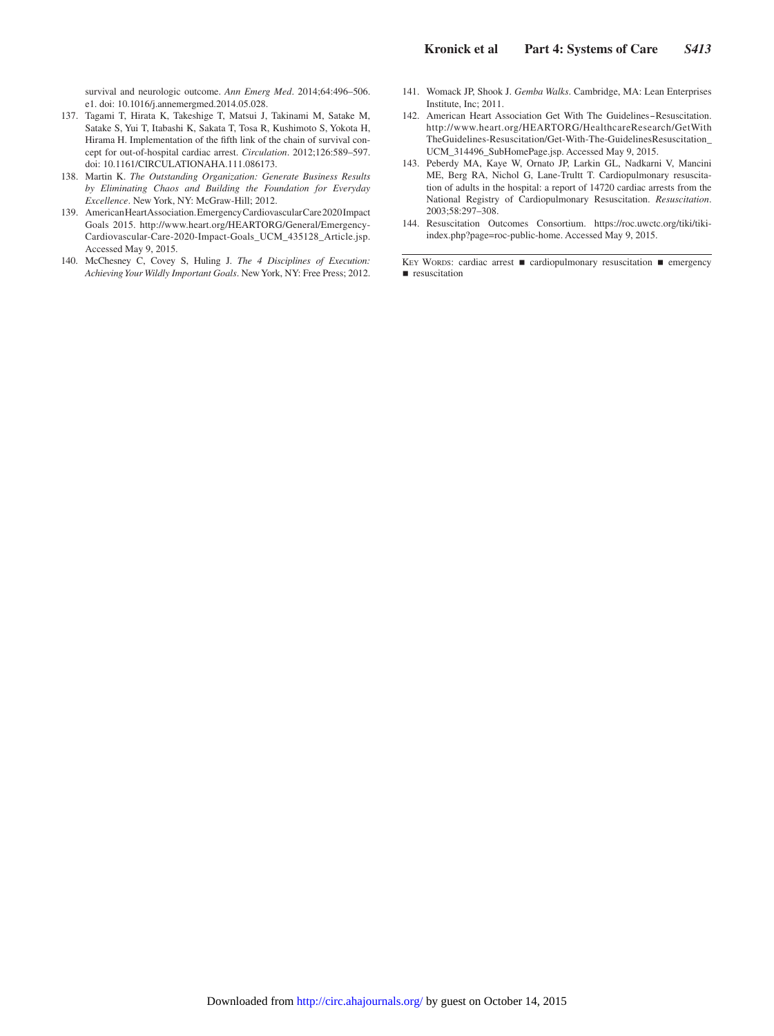survival and neurologic outcome. *Ann Emerg Med*. 2014;64:496–506. e1. doi: 10.1016/j.annemergmed.2014.05.028.

- 137. Tagami T, Hirata K, Takeshige T, Matsui J, Takinami M, Satake M, Satake S, Yui T, Itabashi K, Sakata T, Tosa R, Kushimoto S, Yokota H, Hirama H. Implementation of the fifth link of the chain of survival concept for out-of-hospital cardiac arrest. *Circulation*. 2012;126:589–597. doi: 10.1161/CIRCULATIONAHA.111.086173.
- 138. Martin K. *The Outstanding Organization: Generate Business Results by Eliminating Chaos and Building the Foundation for Everyday Excellence*. New York, NY: McGraw-Hill; 2012.
- 139. American Heart Association. Emergency Cardiovascular Care 2020 Impact Goals 2015. [http://www.heart.org/HEARTORG/General/Emergency-](http://www.heart.org/HEARTORG/General/Emergency-Cardiovascular-Care-2020-Impact-Goals_UCM_435128_Article.jsp)[Cardiovascular-Care-2020-Impact-Goals\\_UCM\\_435128\\_Article.jsp](http://www.heart.org/HEARTORG/General/Emergency-Cardiovascular-Care-2020-Impact-Goals_UCM_435128_Article.jsp). Accessed May 9, 2015.
- 140. McChesney C, Covey S, Huling J. *The 4 Disciplines of Execution: Achieving Your Wildly Important Goals*. New York, NY: Free Press; 2012.
- 141. Womack JP, Shook J. *Gemba Walks*. Cambridge, MA: Lean Enterprises Institute, Inc; 2011.
- 142. American Heart Association Get With The Guidelines-Resuscitation. [http://www.heart.org/HEARTORG/HealthcareResearch/GetWith](http://www.heart.org/HEARTORG/HealthcareResearch/GetWithTheGuidelines-Resuscitation/Get-With-The-GuidelinesResuscitation_UCM_314496_SubHomePage.jsp) [TheGuidelines-Resuscitation/Get-With-The-GuidelinesResuscitation\\_](http://www.heart.org/HEARTORG/HealthcareResearch/GetWithTheGuidelines-Resuscitation/Get-With-The-GuidelinesResuscitation_UCM_314496_SubHomePage.jsp) [UCM\\_314496\\_SubHomePage.jsp.](http://www.heart.org/HEARTORG/HealthcareResearch/GetWithTheGuidelines-Resuscitation/Get-With-The-GuidelinesResuscitation_UCM_314496_SubHomePage.jsp) Accessed May 9, 2015.
- 143. Peberdy MA, Kaye W, Ornato JP, Larkin GL, Nadkarni V, Mancini ME, Berg RA, Nichol G, Lane-Trultt T. Cardiopulmonary resuscitation of adults in the hospital: a report of 14720 cardiac arrests from the National Registry of Cardiopulmonary Resuscitation. *Resuscitation*. 2003;58:297–308.
- 144. Resuscitation Outcomes Consortium. [https://roc.uwctc.org/tiki/tiki](http://roc.uwctc.org/tiki/tiki-index.php?page=roc-public-home)[index.php?page=roc-public-home.](http://roc.uwctc.org/tiki/tiki-index.php?page=roc-public-home) Accessed May 9, 2015.

KEY WORDS: cardiac arrest ■ cardiopulmonary resuscitation ■ emergency ■ resuscitation